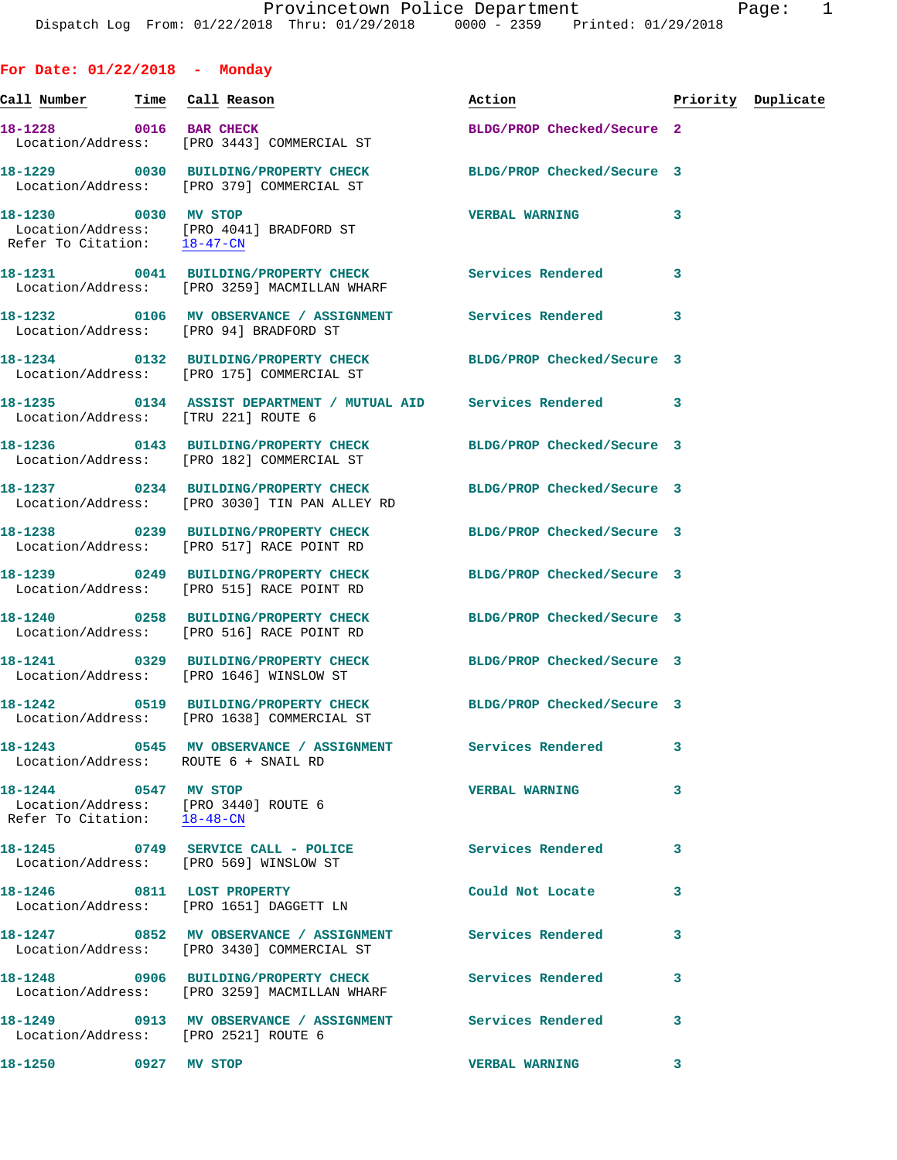**For Date: 01/22/2018 - Monday**

**Call Number Time Call Reason Action Priority Duplicate 18-1228 0016 BAR CHECK BLDG/PROP Checked/Secure 2**  Location/Address: [PRO 3443] COMMERCIAL ST **18-1229 0030 BUILDING/PROPERTY CHECK BLDG/PROP Checked/Secure 3**  Location/Address: [PRO 379] COMMERCIAL ST **18-1230 0030 MV STOP VERBAL WARNING 3**  Location/Address: [PRO 4041] BRADFORD ST<br>Refer To Citation: 18-47-CN Refer To Citation: **18-1231 0041 BUILDING/PROPERTY CHECK Services Rendered 3**  Location/Address: [PRO 3259] MACMILLAN WHARF **18-1232 0106 MV OBSERVANCE / ASSIGNMENT Services Rendered 3**  Location/Address: [PRO 94] BRADFORD ST **18-1234 0132 BUILDING/PROPERTY CHECK BLDG/PROP Checked/Secure 3**  Location/Address: [PRO 175] COMMERCIAL ST **18-1235 0134 ASSIST DEPARTMENT / MUTUAL AID Services Rendered 3**  Location/Address: [TRU 221] ROUTE 6 **18-1236 0143 BUILDING/PROPERTY CHECK BLDG/PROP Checked/Secure 3**  Location/Address: [PRO 182] COMMERCIAL ST **18-1237 0234 BUILDING/PROPERTY CHECK BLDG/PROP Checked/Secure 3**  Location/Address: [PRO 3030] TIN PAN ALLEY RD **18-1238 0239 BUILDING/PROPERTY CHECK BLDG/PROP Checked/Secure 3**  Location/Address: [PRO 517] RACE POINT RD **18-1239 0249 BUILDING/PROPERTY CHECK BLDG/PROP Checked/Secure 3**  Location/Address: [PRO 515] RACE POINT RD **18-1240 0258 BUILDING/PROPERTY CHECK BLDG/PROP Checked/Secure 3**  Location/Address: [PRO 516] RACE POINT RD **18-1241 0329 BUILDING/PROPERTY CHECK BLDG/PROP Checked/Secure 3**  Location/Address: [PRO 1646] WINSLOW ST **18-1242 0519 BUILDING/PROPERTY CHECK BLDG/PROP Checked/Secure 3**  Location/Address: [PRO 1638] COMMERCIAL ST **18-1243 0545 MV OBSERVANCE / ASSIGNMENT Services Rendered 3**  Location/Address: ROUTE 6 + SNAIL RD **18-1244 0547 MV STOP VERBAL WARNING 3**  Location/Address: [PRO 3440] ROUTE 6 Refer To Citation: 18-48-CN **18-1245 0749 SERVICE CALL - POLICE Services Rendered 3**  Location/Address: [PRO 569] WINSLOW ST **18-1246 0811 LOST PROPERTY Could Not Locate 3**  Location/Address: [PRO 1651] DAGGETT LN **18-1247 0852 MV OBSERVANCE / ASSIGNMENT Services Rendered 3**  Location/Address: [PRO 3430] COMMERCIAL ST **18-1248 0906 BUILDING/PROPERTY CHECK Services Rendered 3**  Location/Address: [PRO 3259] MACMILLAN WHARF **18-1249 0913 MV OBSERVANCE / ASSIGNMENT Services Rendered 3**  Location/Address: [PRO 2521] ROUTE 6 **18-1250 0927 MV STOP VERBAL WARNING 3**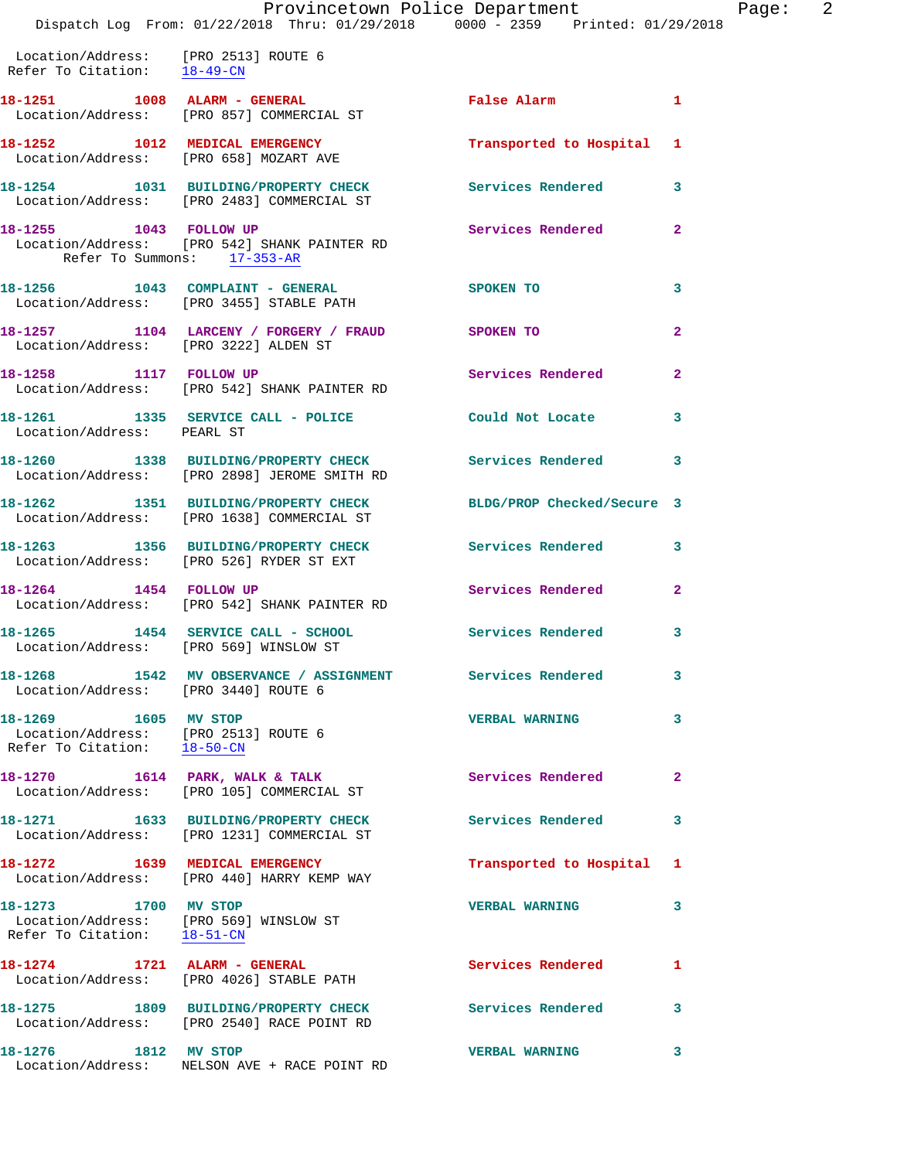|                                                                                               | Dispatch Log From: 01/22/2018 Thru: 01/29/2018 0000 - 2359 Printed: 01/29/2018                       | Provincetown Police Department | F              |
|-----------------------------------------------------------------------------------------------|------------------------------------------------------------------------------------------------------|--------------------------------|----------------|
| Location/Address: [PRO 2513] ROUTE 6<br>Refer To Citation: 18-49-CN                           |                                                                                                      |                                |                |
|                                                                                               | Location/Address: [PRO 857] COMMERCIAL ST                                                            | False Alarm                    | 1              |
| 18-1252 1012 MEDICAL EMERGENCY                                                                | Location/Address: [PRO 658] MOZART AVE                                                               | Transported to Hospital        | 1              |
|                                                                                               | 18-1254 1031 BUILDING/PROPERTY CHECK<br>Location/Address: [PRO 2483] COMMERCIAL ST                   | Services Rendered              | 3              |
| 18-1255 1043 FOLLOW UP<br>Refer To Summons: 17-353-AR                                         | Location/Address: [PRO 542] SHANK PAINTER RD                                                         | <b>Services Rendered</b>       | $\overline{2}$ |
|                                                                                               | 18-1256 1043 COMPLAINT - GENERAL<br>Location/Address: [PRO 3455] STABLE PATH                         | SPOKEN TO                      | 3              |
| Location/Address: [PRO 3222] ALDEN ST                                                         | 18-1257 1104 LARCENY / FORGERY / FRAUD SPOKEN TO                                                     |                                | $\mathbf{2}$   |
|                                                                                               | 18-1258 1117 FOLLOW UP<br>Location/Address: [PRO 542] SHANK PAINTER RD                               | Services Rendered              | $\overline{2}$ |
| Location/Address: PEARL ST                                                                    | 18-1261 1335 SERVICE CALL - POLICE                                                                   | Could Not Locate               | 3              |
|                                                                                               | 18-1260 1338 BUILDING/PROPERTY CHECK<br>Location/Address: [PRO 2898] JEROME SMITH RD                 | <b>Services Rendered</b>       | 3              |
|                                                                                               | 18-1262 1351 BUILDING/PROPERTY CHECK<br>Location/Address: [PRO 1638] COMMERCIAL ST                   | BLDG/PROP Checked/Secure 3     |                |
|                                                                                               | 18-1263 1356 BUILDING/PROPERTY CHECK<br>Location/Address: [PRO 526] RYDER ST EXT                     | <b>Services Rendered</b>       | 3              |
|                                                                                               | 18-1264 1454 FOLLOW UP<br>Location/Address: [PRO 542] SHANK PAINTER RD                               | <b>Services Rendered</b>       | $\overline{a}$ |
| Location/Address: [PRO 569] WINSLOW ST                                                        | 18-1265 1454 SERVICE CALL - SCHOOL Services Rendered                                                 |                                | 3              |
| Location/Address: [PRO 3440] ROUTE 6                                                          | 18-1268 1542 MV OBSERVANCE / ASSIGNMENT Services Rendered                                            |                                | 3              |
| 18-1269 1605 MV STOP<br>Location/Address: [PRO 2513] ROUTE 6<br>Refer To Citation: 18-50-CN   |                                                                                                      | <b>VERBAL WARNING</b>          | 3              |
|                                                                                               | 18-1270 1614 PARK, WALK & TALK<br>Location/Address: [PRO 105] COMMERCIAL ST                          | <b>Services Rendered</b>       | 2              |
|                                                                                               | 18-1271 1633 BUILDING/PROPERTY CHECK<br>Location/Address: [PRO 1231] COMMERCIAL ST                   | Services Rendered              | 3              |
|                                                                                               | 18-1272 1639 MEDICAL EMERGENCY<br>Location/Address: [PRO 440] HARRY KEMP WAY                         | Transported to Hospital        | 1              |
| 18-1273 1700 MV STOP<br>Location/Address: [PRO 569] WINSLOW ST<br>Refer To Citation: 18-51-CN |                                                                                                      | <b>VERBAL WARNING</b>          | 3              |
|                                                                                               | 18-1274 1721 ALARM - GENERAL<br>Location/Address: [PRO 4026] STABLE PATH                             | <b>Services Rendered</b>       | 1              |
|                                                                                               | 18-1275 1809 BUILDING/PROPERTY CHECK Services Rendered<br>Location/Address: [PRO 2540] RACE POINT RD |                                | 3              |
|                                                                                               |                                                                                                      | <b>VERBAL WARNING</b>          | 3              |

Location/Address: NELSON AVE + RACE POINT RD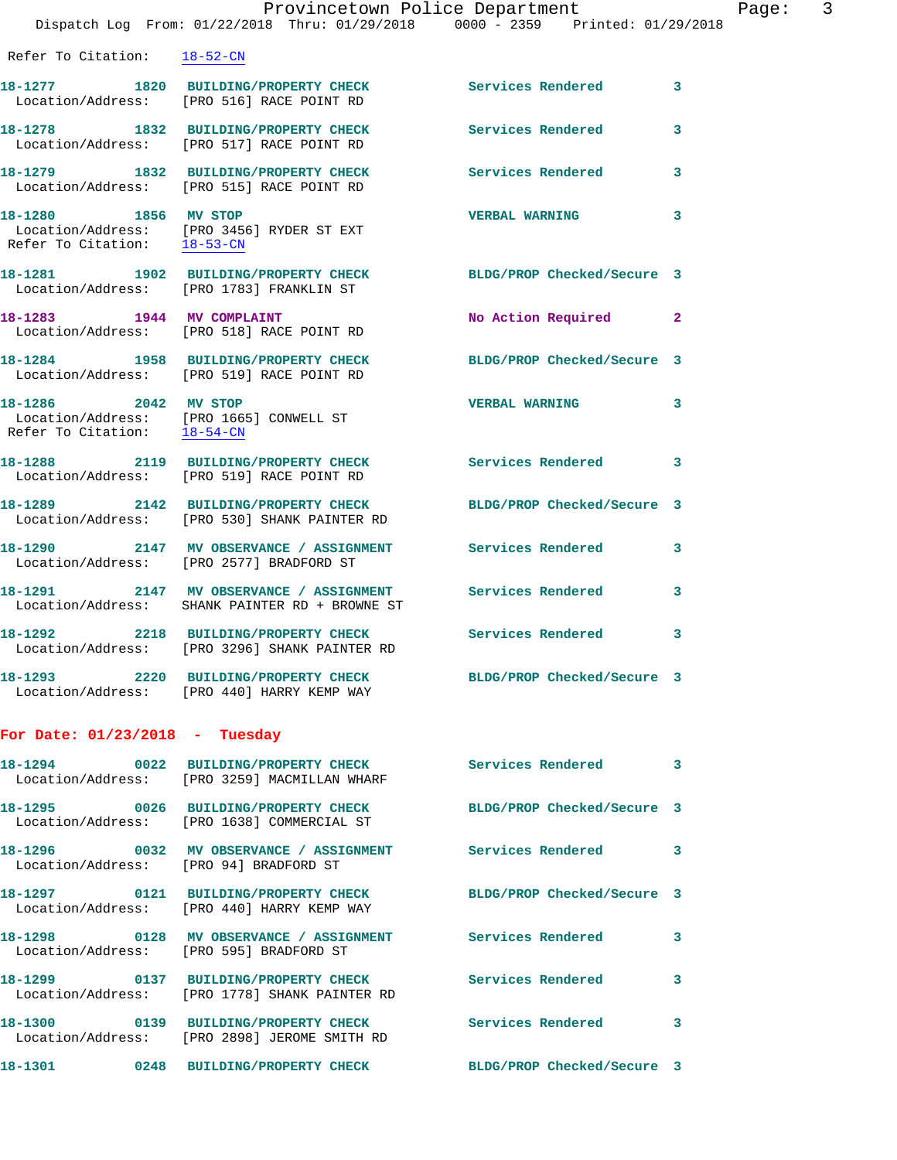|                                                     | Provincetown Police Department                                                                                  |                            |                |
|-----------------------------------------------------|-----------------------------------------------------------------------------------------------------------------|----------------------------|----------------|
|                                                     | Dispatch Log From: 01/22/2018 Thru: 01/29/2018 0000 - 2359 Printed: 01/29/2018                                  |                            |                |
| Refer To Citation: 18-52-CN                         |                                                                                                                 |                            |                |
|                                                     | 18-1277 1820 BUILDING/PROPERTY CHECK<br>Location/Address: [PRO 516] RACE POINT RD                               | Services Rendered          | 3              |
|                                                     | 18-1278 1832 BUILDING/PROPERTY CHECK<br>Location/Address: [PRO 517] RACE POINT RD                               | <b>Services Rendered</b>   | 3              |
|                                                     | 18-1279 1832 BUILDING/PROPERTY CHECK<br>Location/Address: [PRO 515] RACE POINT RD                               | <b>Services Rendered</b>   | 3              |
| 18-1280 1856 MV STOP                                | Location/Address: [PRO 3456] RYDER ST EXT<br>Refer To Citation: $\frac{18-53-CN}{N}$                            | <b>VERBAL WARNING</b>      | 3              |
| 18–1281                                             | 1902 BUILDING/PROPERTY CHECK<br>Location/Address: [PRO 1783] FRANKLIN ST                                        | BLDG/PROP Checked/Secure 3 |                |
|                                                     | 18-1283 1944 MV COMPLAINT<br>Location/Address: [PRO 518] RACE POINT RD                                          | No Action Required         | $\overline{2}$ |
|                                                     | 18-1284 1958 BUILDING/PROPERTY CHECK<br>Location/Address: [PRO 519] RACE POINT RD                               | BLDG/PROP Checked/Secure 3 |                |
| 18-1286 2042 MV STOP<br>Refer To Citation: 18-54-CN | Location/Address: [PRO 1665] CONWELL ST                                                                         | <b>VERBAL WARNING</b>      | 3              |
|                                                     | 18-1288 2119 BUILDING/PROPERTY CHECK<br>Location/Address: [PRO 519] RACE POINT RD                               | <b>Services Rendered</b>   | 3              |
|                                                     | 18-1289 2142 BUILDING/PROPERTY CHECK BLDG/PROP Checked/Secure 3<br>Location/Address: [PRO 530] SHANK PAINTER RD |                            |                |
|                                                     | 18-1290 2147 MV OBSERVANCE / ASSIGNMENT Services Rendered<br>Location/Address: [PRO 2577] BRADFORD ST           |                            | 3              |
| 18-1291                                             | 2147 MV OBSERVANCE / ASSIGNMENT Services Rendered<br>Location/Address: SHANK PAINTER RD + BROWNE ST             |                            | 3              |
|                                                     | 18-1292 2218 BUILDING/PROPERTY CHECK<br>Location/Address: [PRO 3296] SHANK PAINTER RD                           | <b>Services Rendered</b>   | 3              |
|                                                     | 18-1293 2220 BUILDING/PROPERTY CHECK<br>Location/Address: [PRO 440] HARRY KEMP WAY                              | BLDG/PROP Checked/Secure 3 |                |
| For Date: $01/23/2018$ - Tuesday                    |                                                                                                                 |                            |                |
|                                                     | 18-1294 		 0022 BUILDING/PROPERTY CHECK Services Rendered<br>Location/Address: [PRO 3259] MACMILLAN WHARF       |                            | 3              |
|                                                     | 18-1295 0026 BUILDING/PROPERTY CHECK BLDG/PROP Checked/Secure 3<br>Location/Address: [PRO 1638] COMMERCIAL ST   |                            |                |
| Location/Address: [PRO 94] BRADFORD ST              | 18-1296  0032 MV OBSERVANCE / ASSIGNMENT Services Rendered                                                      |                            | 3              |
|                                                     | 18-1297  0121 BUILDING/PROPERTY CHECK BLDG/PROP Checked/Secure 3<br>Location/Address: [PRO 440] HARRY KEMP WAY  |                            |                |
| Location/Address: [PRO 595] BRADFORD ST             |                                                                                                                 |                            | 3              |
|                                                     | 18-1299   0137 BUILDING/PROPERTY CHECK   Services Rendered<br>Location/Address: [PRO 1778] SHANK PAINTER RD     |                            | 3              |
|                                                     | 18-1300 0139 BUILDING/PROPERTY CHECK Services Rendered<br>Location/Address: [PRO 2898] JEROME SMITH RD          |                            | 3              |
|                                                     | 18-1301 0248 BUILDING/PROPERTY CHECK BLDG/PROP Checked/Secure 3                                                 |                            |                |

Page:  $3<sup>18</sup>$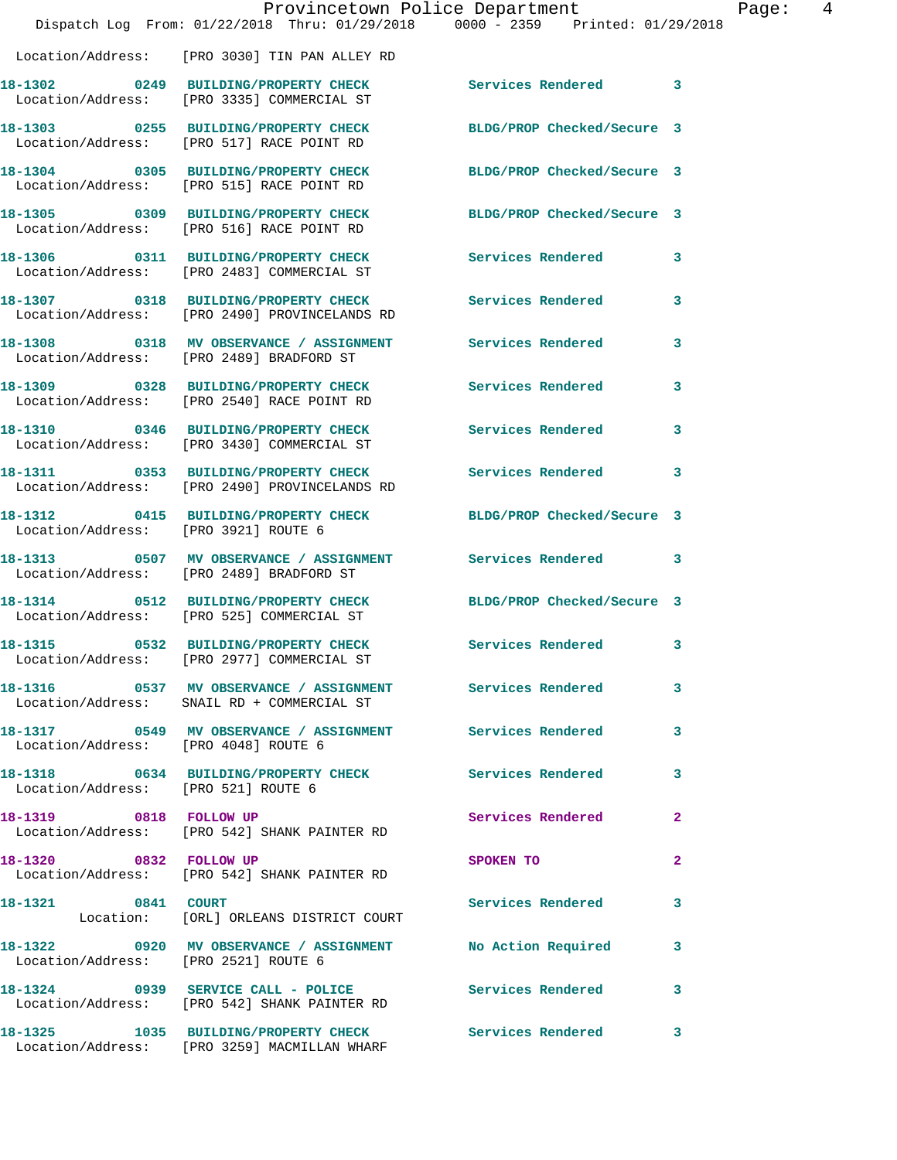|                                      | Provincetown Police Department<br>Dispatch Log From: 01/22/2018 Thru: 01/29/2018 0000 - 2359 Printed: 01/29/2018 |                            |              |
|--------------------------------------|------------------------------------------------------------------------------------------------------------------|----------------------------|--------------|
|                                      | Location/Address: [PRO 3030] TIN PAN ALLEY RD                                                                    |                            |              |
|                                      | 18-1302 0249 BUILDING/PROPERTY CHECK<br>Location/Address: [PRO 3335] COMMERCIAL ST                               | <b>Services Rendered</b>   | 3            |
|                                      | 18-1303 0255 BUILDING/PROPERTY CHECK<br>Location/Address: [PRO 517] RACE POINT RD                                | BLDG/PROP Checked/Secure 3 |              |
|                                      | 18-1304 0305 BUILDING/PROPERTY CHECK<br>Location/Address: [PRO 515] RACE POINT RD                                | BLDG/PROP Checked/Secure 3 |              |
|                                      | 18-1305 0309 BUILDING/PROPERTY CHECK<br>Location/Address: [PRO 516] RACE POINT RD                                | BLDG/PROP Checked/Secure 3 |              |
|                                      | 18-1306 0311 BUILDING/PROPERTY CHECK<br>Location/Address: [PRO 2483] COMMERCIAL ST                               | Services Rendered          | 3            |
|                                      | 18-1307 0318 BUILDING/PROPERTY CHECK<br>Location/Address: [PRO 2490] PROVINCELANDS RD                            | <b>Services Rendered</b>   | 3            |
|                                      | 18-1308 0318 MV OBSERVANCE / ASSIGNMENT Services Rendered<br>Location/Address: [PRO 2489] BRADFORD ST            |                            | 3            |
|                                      | 18-1309 0328 BUILDING/PROPERTY CHECK<br>Location/Address: [PRO 2540] RACE POINT RD                               | <b>Services Rendered</b>   | 3            |
|                                      | 18-1310 0346 BUILDING/PROPERTY CHECK<br>Location/Address: [PRO 3430] COMMERCIAL ST                               | Services Rendered          | 3            |
|                                      | 18-1311 0353 BUILDING/PROPERTY CHECK<br>Location/Address: [PRO 2490] PROVINCELANDS RD                            | <b>Services Rendered</b>   | 3            |
| Location/Address: [PRO 3921] ROUTE 6 | 18-1312 0415 BUILDING/PROPERTY CHECK                                                                             | BLDG/PROP Checked/Secure 3 |              |
|                                      | 18-1313 0507 MV OBSERVANCE / ASSIGNMENT<br>Location/Address: [PRO 2489] BRADFORD ST                              | <b>Services Rendered</b>   | 3            |
|                                      | 18-1314 0512 BUILDING/PROPERTY CHECK<br>Location/Address: [PRO 525] COMMERCIAL ST                                | BLDG/PROP Checked/Secure 3 |              |
|                                      | 18-1315 0532 BUILDING/PROPERTY CHECK<br>Location/Address: [PRO 2977] COMMERCIAL ST                               | Services Rendered          | 3            |
|                                      | Location/Address: SNAIL RD + COMMERCIAL ST                                                                       |                            | 3            |
| Location/Address: [PRO 4048] ROUTE 6 | 18-1317 6549 MV OBSERVANCE / ASSIGNMENT Services Rendered                                                        |                            | 3            |
| Location/Address: [PRO 521] ROUTE 6  | 18-1318 		 0634 BUILDING/PROPERTY CHECK Services Rendered                                                        |                            | 3            |
| 18-1319 0818 FOLLOW UP               | Location/Address: [PRO 542] SHANK PAINTER RD                                                                     | Services Rendered          | $\mathbf{2}$ |
| 18-1320 0832 FOLLOW UP               | Location/Address: [PRO 542] SHANK PAINTER RD                                                                     | SPOKEN TO                  | 2            |
| 18-1321 0841 COURT                   | Location: [ORL] ORLEANS DISTRICT COURT                                                                           | Services Rendered          | 3            |
|                                      | 18-1322 0920 MV OBSERVANCE / ASSIGNMENT No Action Required<br>Location/Address: [PRO 2521] ROUTE 6               |                            | 3            |
|                                      | 18-1324 0939 SERVICE CALL - POLICE 3 Services Rendered<br>Location/Address: [PRO 542] SHANK PAINTER RD           |                            | 3            |
|                                      | 18-1325 1035 BUILDING/PROPERTY CHECK Services Rendered<br>Location/Address: [PRO 3259] MACMILLAN WHARF           |                            | 3            |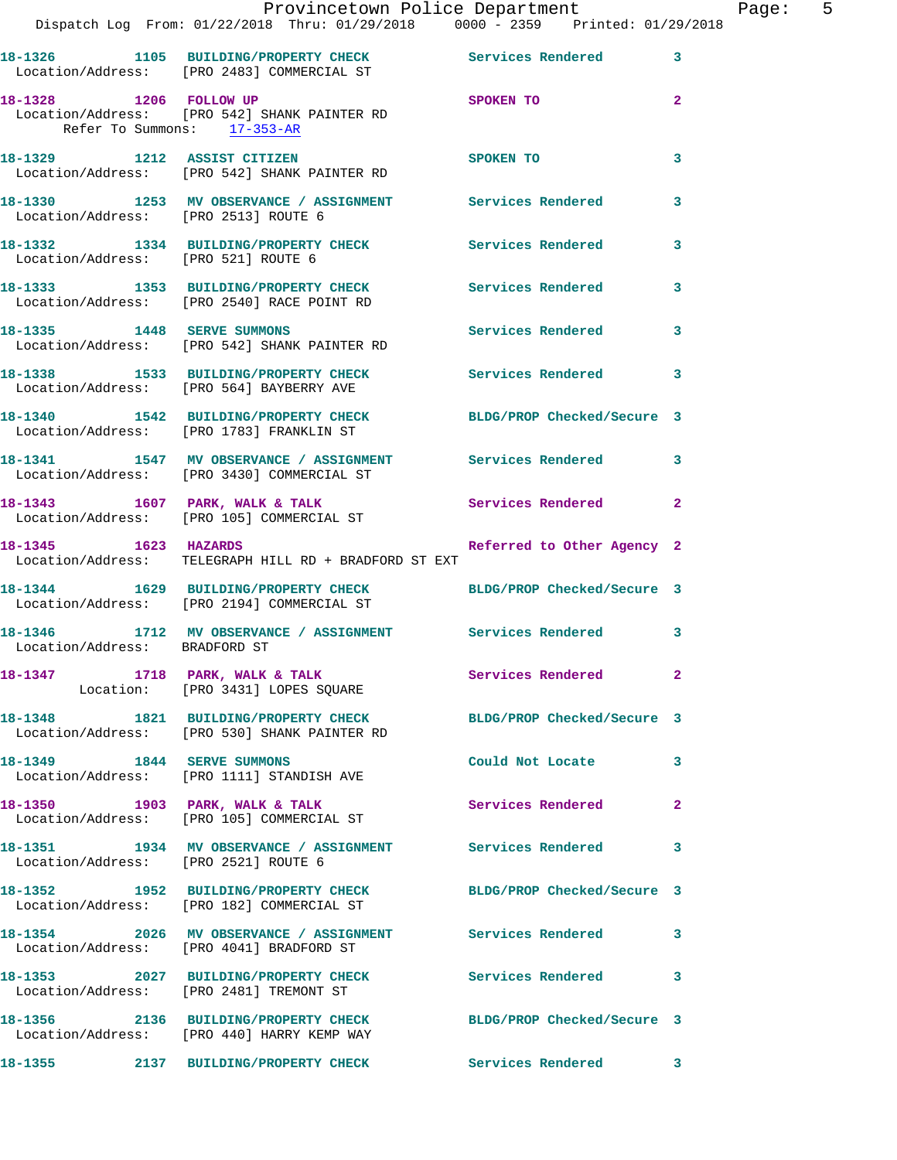|                                                       | Provincetown Police Department<br>Dispatch Log From: 01/22/2018 Thru: 01/29/2018 0000 - 2359 Printed: 01/29/2018 |                          | Page: 5      |
|-------------------------------------------------------|------------------------------------------------------------------------------------------------------------------|--------------------------|--------------|
|                                                       | 18-1326 1105 BUILDING/PROPERTY CHECK Services Rendered 3<br>Location/Address: [PRO 2483] COMMERCIAL ST           |                          |              |
| 18-1328 1206 FOLLOW UP<br>Refer To Summons: 17-353-AR | Location/Address: [PRO 542] SHANK PAINTER RD                                                                     | <b>SPOKEN TO</b>         | $\mathbf{2}$ |
|                                                       | 18-1329 1212 ASSIST CITIZEN<br>Location/Address: [PRO 542] SHANK PAINTER RD                                      | SPOKEN TO                | 3            |
| Location/Address: [PRO 2513] ROUTE 6                  | 18-1330 1253 MV OBSERVANCE / ASSIGNMENT Services Rendered                                                        |                          | 3            |
| Location/Address: [PRO 521] ROUTE 6                   | 18-1332 1334 BUILDING/PROPERTY CHECK Services Rendered 3                                                         |                          |              |
|                                                       | 18-1333 1353 BUILDING/PROPERTY CHECK Services Rendered<br>Location/Address: [PRO 2540] RACE POINT RD             |                          | 3            |
|                                                       | 18-1335 1448 SERVE SUMMONS<br>Location/Address: [PRO 542] SHANK PAINTER RD                                       | Services Rendered 3      |              |
|                                                       | 18-1338 1533 BUILDING/PROPERTY CHECK Services Rendered<br>Location/Address: [PRO 564] BAYBERRY AVE               |                          | 3            |
|                                                       | 18-1340 1542 BUILDING/PROPERTY CHECK BLDG/PROP Checked/Secure 3<br>Location/Address: [PRO 1783] FRANKLIN ST      |                          |              |
|                                                       | 18-1341 1547 MV OBSERVANCE / ASSIGNMENT Services Rendered 3<br>Location/Address: [PRO 3430] COMMERCIAL ST        |                          |              |
|                                                       | 18-1343 1607 PARK, WALK & TALK 1999 Services Rendered 2<br>Location/Address: [PRO 105] COMMERCIAL ST             |                          |              |
|                                                       | 18-1345 1623 HAZARDS Referred to Other Agency 2<br>Location/Address: TELEGRAPH HILL RD + BRADFORD ST EXT         |                          |              |
|                                                       | 18-1344 1629 BUILDING/PROPERTY CHECK BLDG/PROP Checked/Secure 3<br>Location/Address: [PRO 2194] COMMERCIAL ST    |                          |              |
| Location/Address: BRADFORD ST                         | 18-1346 1712 MV OBSERVANCE / ASSIGNMENT Services Rendered 3                                                      |                          |              |
|                                                       | 18-1347 1718 PARK, WALK & TALK 1998 Services Rendered 2<br>Location: [PRO 3431] LOPES SQUARE                     |                          |              |
|                                                       | 18-1348 1821 BUILDING/PROPERTY CHECK BLDG/PROP Checked/Secure 3<br>Location/Address: [PRO 530] SHANK PAINTER RD  |                          |              |
|                                                       | 18-1349 1844 SERVE SUMMONS<br>Location/Address: [PRO 1111] STANDISH AVE                                          | Could Not Locate 3       |              |
|                                                       | 18-1350 1903 PARK, WALK & TALK<br>Location/Address: [PRO 105] COMMERCIAL ST                                      | <b>Services Rendered</b> | $\mathbf{2}$ |
| Location/Address: [PRO 2521] ROUTE 6                  | 18-1351 1934 MV OBSERVANCE / ASSIGNMENT Services Rendered 3                                                      |                          |              |
|                                                       | 18-1352 1952 BUILDING/PROPERTY CHECK BLDG/PROP Checked/Secure 3<br>Location/Address: [PRO 182] COMMERCIAL ST     |                          |              |
|                                                       | 18-1354 2026 MV OBSERVANCE / ASSIGNMENT Services Rendered 3<br>Location/Address: [PRO 4041] BRADFORD ST          |                          |              |
|                                                       |                                                                                                                  |                          |              |
|                                                       | 18-1356 2136 BUILDING/PROPERTY CHECK BLDG/PROP Checked/Secure 3<br>Location/Address: [PRO 440] HARRY KEMP WAY    |                          |              |
|                                                       | 18-1355 2137 BUILDING/PROPERTY CHECK Services Rendered 3                                                         |                          |              |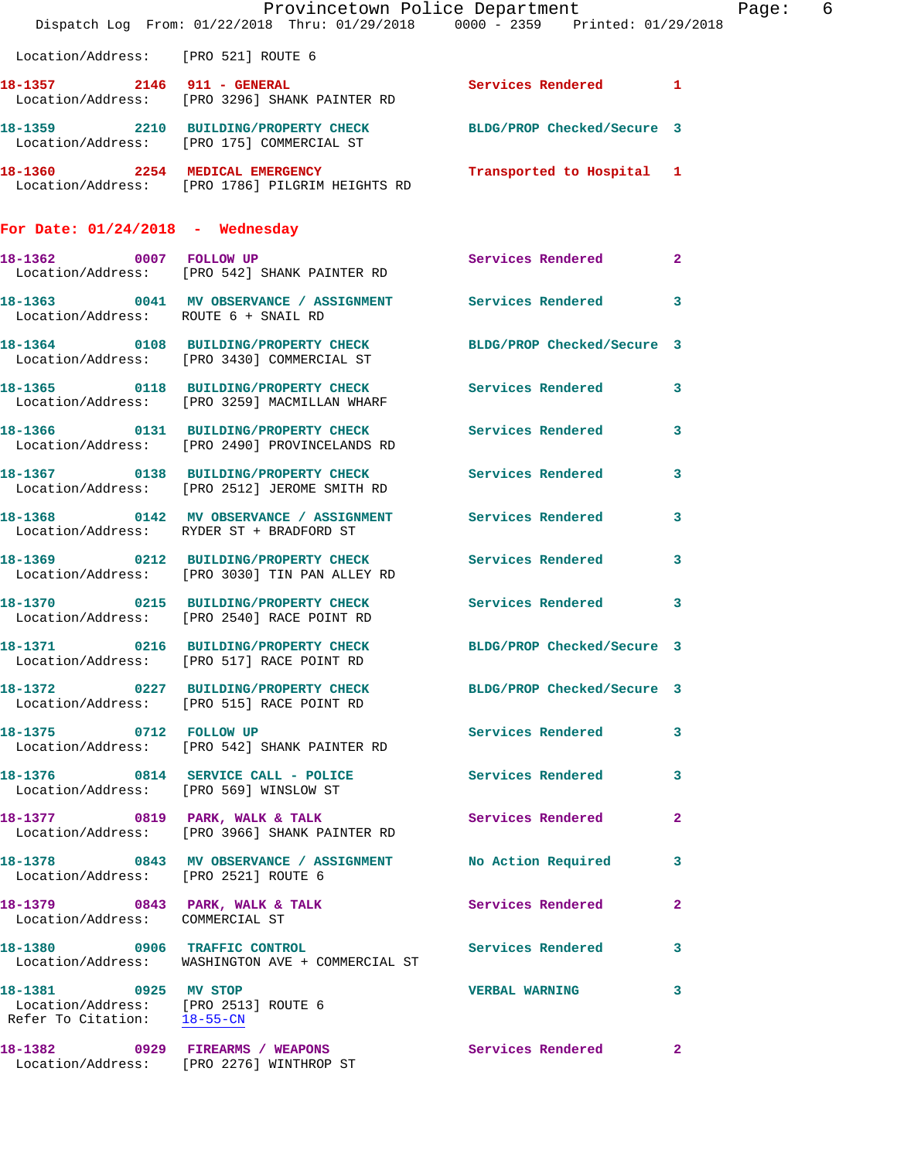|                                      | Dispatch Log From: 01/22/2018 Thru: 01/29/2018 0000 - 2359 Printed: 01/29/2018                                | Provincetown Police Department | Page: 6 |
|--------------------------------------|---------------------------------------------------------------------------------------------------------------|--------------------------------|---------|
| Location/Address: [PRO 521] ROUTE 6  |                                                                                                               |                                |         |
|                                      | 18-1357 2146 911 - GENERAL<br>Location/Address: [PRO 3296] SHANK PAINTER RD                                   | Services Rendered 1            |         |
|                                      | 18-1359 2210 BUILDING/PROPERTY CHECK BLDG/PROP Checked/Secure 3<br>Location/Address: [PRO 175] COMMERCIAL ST  |                                |         |
|                                      | 18-1360 2254 MEDICAL EMERGENCY Transported to Hospital 1<br>Location/Address: [PRO 1786] PILGRIM HEIGHTS RD   |                                |         |
| For Date: $01/24/2018$ - Wednesday   |                                                                                                               |                                |         |
|                                      | 18-1362 0007 FOLLOW UP<br>Location/Address: [PRO 542] SHANK PAINTER RD                                        | Services Rendered 2            |         |
| Location/Address: ROUTE 6 + SNAIL RD | 18-1363 0041 MV OBSERVANCE / ASSIGNMENT Services Rendered 3                                                   |                                |         |
|                                      | 18-1364 0108 BUILDING/PROPERTY CHECK BLDG/PROP Checked/Secure 3<br>Location/Address: [PRO 3430] COMMERCIAL ST |                                |         |
|                                      | 18-1365 0118 BUILDING/PROPERTY CHECK Services Rendered 3<br>Location/Address: [PRO 3259] MACMILLAN WHARF      |                                |         |
|                                      | 18-1366 0131 BUILDING/PROPERTY CHECK Services Rendered<br>Location/Address: [PRO 2490] PROVINCELANDS RD       |                                | 3       |
|                                      | 18-1367 0138 BUILDING/PROPERTY CHECK Services Rendered 3<br>Location/Address: [PRO 2512] JEROME SMITH RD      |                                |         |
|                                      | 18-1368 0142 MV OBSERVANCE / ASSIGNMENT Services Rendered<br>Location/Address: RYDER ST + BRADFORD ST         |                                | 3       |
|                                      | 18-1369 0212 BUILDING/PROPERTY CHECK Services Rendered 3<br>Location/Address: [PRO 3030] TIN PAN ALLEY RD     |                                |         |
|                                      | 18-1370 0215 BUILDING/PROPERTY CHECK Services Rendered<br>Location/Address: [PRO 2540] RACE POINT RD          |                                | 3       |
| 18-1371                              | 0216 BUILDING/PROPERTY CHECK BLDG/PROP Checked/Secure 3<br>Location/Address: [PRO 517] RACE POINT RD          |                                |         |
|                                      | 18-1372 0227 BUILDING/PROPERTY CHECK BLDG/PROP Checked/Secure 3<br>Location/Address: [PRO 515] RACE POINT RD  |                                |         |
|                                      | 18-1375 0712 FOLLOW UP<br>Location/Address: [PRO 542] SHANK PAINTER RD                                        | Services Rendered 3            |         |
|                                      | 18-1376 0814 SERVICE CALL - POLICE Services Rendered 3<br>Location/Address: [PRO 569] WINSLOW ST              |                                |         |
|                                      | 18-1377 0819 PARK, WALK & TALK<br>Location/Address: [PRO 3966] SHANK PAINTER RD                               | Services Rendered 2            |         |
| Location/Address: [PRO 2521] ROUTE 6 | 18-1378 0843 MV OBSERVANCE / ASSIGNMENT No Action Required                                                    |                                | 3       |
| Location/Address: COMMERCIAL ST      | 18-1379 0843 PARK, WALK & TALK 3 Services Rendered 2                                                          |                                |         |
|                                      | 18-1380 0906 TRAFFIC CONTROL Services Rendered 3<br>Location/Address: WASHINGTON AVE + COMMERCIAL ST          |                                |         |
| 18-1381 0925 MV STOP                 | Location/Address: [PRO 2513] ROUTE 6<br>Refer To Citation: 18-55-CN                                           | VERBAL WARNING 3               |         |
|                                      | 18-1382 0929 FIREARMS / WEAPONS<br>Location/Address: [PRO 2276] WINTHROP ST                                   | <b>Services Rendered</b> 2     |         |
|                                      |                                                                                                               |                                |         |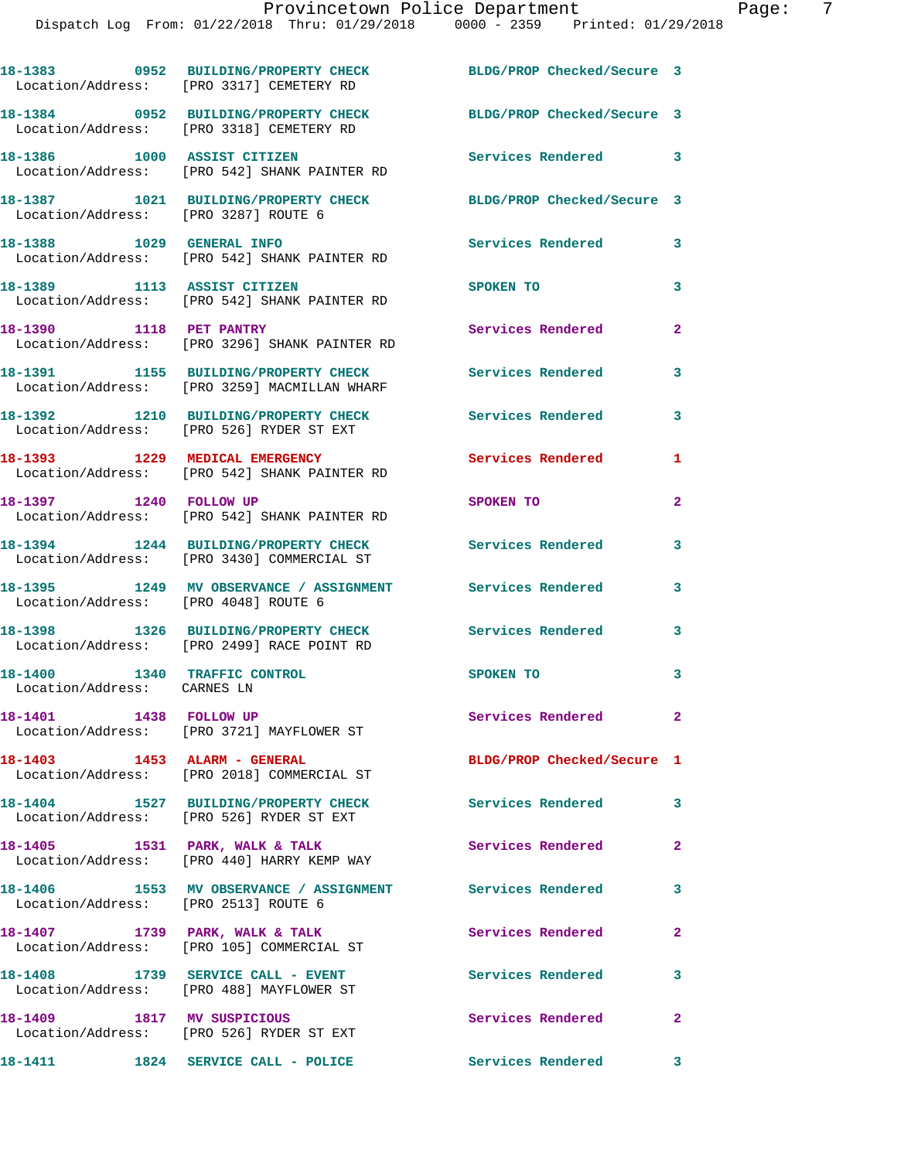|                                                             | 18-1383 0952 BUILDING/PROPERTY CHECK<br>Location/Address: [PRO 3317] CEMETERY RD                  | BLDG/PROP Checked/Secure 3 |   |
|-------------------------------------------------------------|---------------------------------------------------------------------------------------------------|----------------------------|---|
|                                                             | 18-1384 0952 BUILDING/PROPERTY CHECK<br>Location/Address: [PRO 3318] CEMETERY RD                  | BLDG/PROP Checked/Secure 3 |   |
|                                                             | 18-1386 1000 ASSIST CITIZEN<br>Location/Address: [PRO 542] SHANK PAINTER RD                       | Services Rendered          | 3 |
| Location/Address: [PRO 3287] ROUTE 6                        | 18-1387 1021 BUILDING/PROPERTY CHECK                                                              | BLDG/PROP Checked/Secure 3 |   |
|                                                             | 18-1388 1029 GENERAL INFO<br>Location/Address: [PRO 542] SHANK PAINTER RD                         | Services Rendered          | 3 |
| 18-1389 1113 ASSIST CITIZEN                                 | Location/Address: [PRO 542] SHANK PAINTER RD                                                      | SPOKEN TO                  | 3 |
| 18-1390 1118 PET PANTRY                                     | Location/Address: [PRO 3296] SHANK PAINTER RD                                                     | Services Rendered          | 2 |
|                                                             | 18-1391 1155 BUILDING/PROPERTY CHECK<br>Location/Address: [PRO 3259] MACMILLAN WHARF              | Services Rendered          | 3 |
|                                                             | 18-1392 1210 BUILDING/PROPERTY CHECK<br>Location/Address: [PRO 526] RYDER ST EXT                  | Services Rendered          | 3 |
|                                                             | 18-1393 1229 MEDICAL EMERGENCY<br>Location/Address: [PRO 542] SHANK PAINTER RD                    | Services Rendered          | 1 |
| 18-1397 1240 FOLLOW UP                                      | Location/Address: [PRO 542] SHANK PAINTER RD                                                      | SPOKEN TO                  | 2 |
|                                                             | 18-1394 1244 BUILDING/PROPERTY CHECK<br>Location/Address: [PRO 3430] COMMERCIAL ST                | Services Rendered          | 3 |
| Location/Address: [PRO 4048] ROUTE 6                        | 18-1395 1249 MV OBSERVANCE / ASSIGNMENT Services Rendered                                         |                            | 3 |
|                                                             | 18-1398 1326 BUILDING/PROPERTY CHECK<br>Location/Address: [PRO 2499] RACE POINT RD                | Services Rendered          | 3 |
| 18-1400 1340 TRAFFIC CONTROL<br>Location/Address: CARNES LN |                                                                                                   | SPOKEN TO                  | 3 |
| 18-1401 1438 FOLLOW UP                                      | Location/Address: [PRO 3721] MAYFLOWER ST                                                         | Services Rendered          |   |
| 18-1403 1453 ALARM - GENERAL                                | Location/Address: [PRO 2018] COMMERCIAL ST                                                        | BLDG/PROP Checked/Secure 1 |   |
|                                                             | 18-1404 1527 BUILDING/PROPERTY CHECK<br>Location/Address: [PRO 526] RYDER ST EXT                  | Services Rendered          | 3 |
|                                                             | 18-1405 1531 PARK, WALK & TALK<br>Location/Address: [PRO 440] HARRY KEMP WAY                      | Services Rendered          | 2 |
|                                                             | 18-1406 1553 MV OBSERVANCE / ASSIGNMENT Services Rendered<br>Location/Address: [PRO 2513] ROUTE 6 |                            | 3 |
|                                                             | 18-1407 1739 PARK, WALK & TALK<br>Location/Address: [PRO 105] COMMERCIAL ST                       | Services Rendered          | 2 |
|                                                             | 18-1408 1739 SERVICE CALL - EVENT<br>Location/Address: [PRO 488] MAYFLOWER ST                     | <b>Services Rendered</b>   | 3 |
|                                                             | 18-1409 1817 MV SUSPICIOUS<br>Location/Address: [PRO 526] RYDER ST EXT                            | Services Rendered          | 2 |
|                                                             | 18-1411 1824 SERVICE CALL - POLICE                                                                | <b>Services Rendered</b>   | 3 |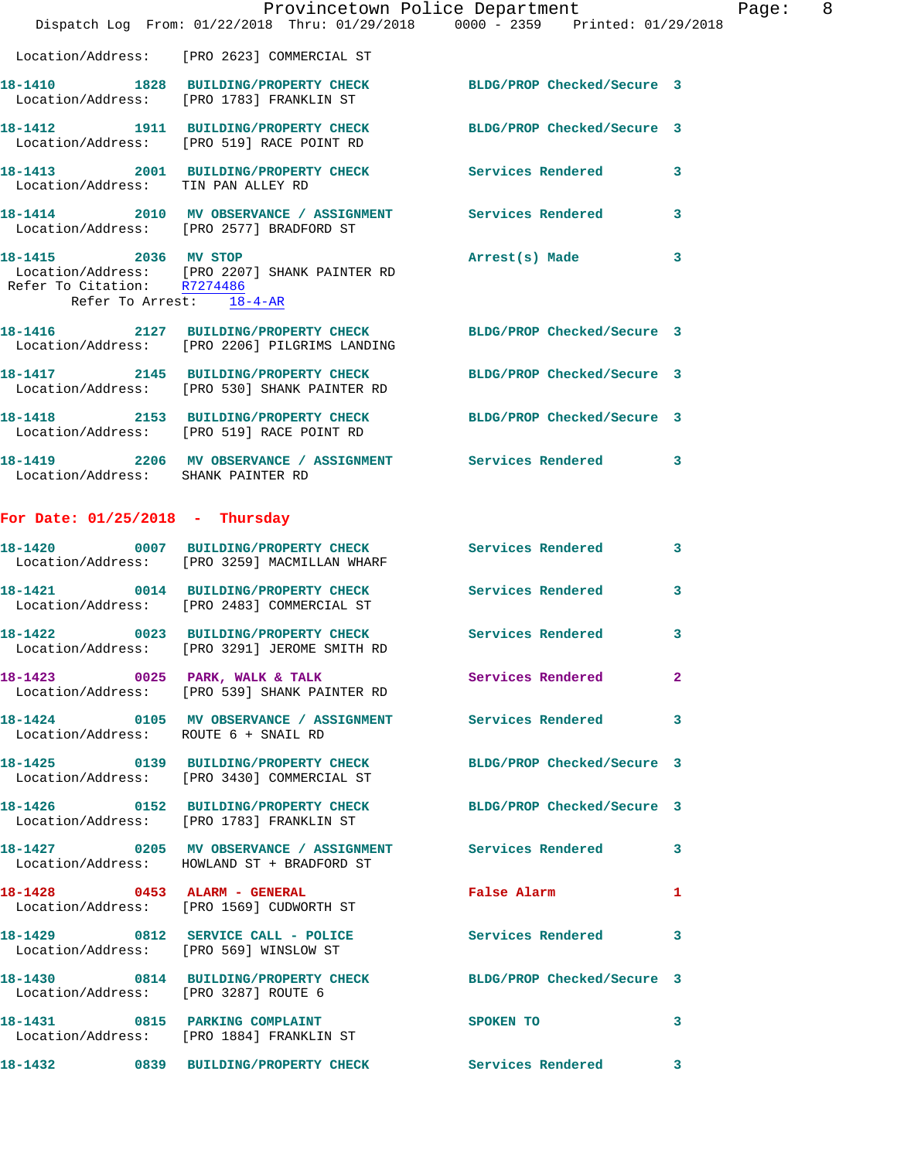|                                                         | Dispatch Log From: 01/22/2018 Thru: 01/29/2018 0000 - 2359 Printed: 01/29/2018                                   | Provincetown Police Department | Page: 8                 |  |
|---------------------------------------------------------|------------------------------------------------------------------------------------------------------------------|--------------------------------|-------------------------|--|
|                                                         | Location/Address: [PRO 2623] COMMERCIAL ST                                                                       |                                |                         |  |
|                                                         | 18-1410 1828 BUILDING/PROPERTY CHECK BLDG/PROP Checked/Secure 3<br>Location/Address: [PRO 1783] FRANKLIN ST      |                                |                         |  |
|                                                         | 18-1412 1911 BUILDING/PROPERTY CHECK BLDG/PROP Checked/Secure 3<br>Location/Address: [PRO 519] RACE POINT RD     |                                |                         |  |
| Location/Address: TIN PAN ALLEY RD                      | 18-1413 2001 BUILDING/PROPERTY CHECK Services Rendered 3                                                         |                                |                         |  |
|                                                         | 18-1414 2010 MV OBSERVANCE / ASSIGNMENT Services Rendered 3<br>Location/Address: [PRO 2577] BRADFORD ST          |                                |                         |  |
| Refer To Citation: R7274486<br>Refer To Arrest: 18-4-AR | 18-1415 2036 MV STOP<br>Location/Address: [PRO 2207] SHANK PAINTER RD                                            | Arrest(s) Made 3               |                         |  |
|                                                         | 18-1416 2127 BUILDING/PROPERTY CHECK BLDG/PROP Checked/Secure 3<br>Location/Address: [PRO 2206] PILGRIMS LANDING |                                |                         |  |
|                                                         | 18-1417 2145 BUILDING/PROPERTY CHECK BLDG/PROP Checked/Secure 3<br>Location/Address: [PRO 530] SHANK PAINTER RD  |                                |                         |  |
|                                                         | 18-1418 2153 BUILDING/PROPERTY CHECK BLDG/PROP Checked/Secure 3<br>Location/Address: [PRO 519] RACE POINT RD     |                                |                         |  |
| Location/Address: SHANK PAINTER RD                      | 18-1419 2206 MV OBSERVANCE / ASSIGNMENT Services Rendered 3                                                      |                                |                         |  |
| For Date: $01/25/2018$ - Thursday                       |                                                                                                                  |                                |                         |  |
| 18-1420                                                 | 0007 BUILDING/PROPERTY CHECK Services Rendered 3<br>Location/Address: [PRO 3259] MACMILLAN WHARF                 |                                |                         |  |
|                                                         | 18-1421 0014 BUILDING/PROPERTY CHECK Services Rendered<br>Location/Address: [PRO 2483] COMMERCIAL ST             |                                | 3                       |  |
|                                                         | 18-1422 0023 BUILDING/PROPERTY CHECK Services Rendered<br>Location/Address: [PRO 3291] JEROME SMITH RD           |                                | $\overline{\mathbf{3}}$ |  |
|                                                         | 18-1423 0025 PARK, WALK & TALK Services Rendered<br>Location/Address: [PRO 539] SHANK PAINTER RD                 |                                | $\mathbf{2}$            |  |
| Location/Address: ROUTE 6 + SNAIL RD                    | 18-1424 0105 MV OBSERVANCE / ASSIGNMENT Services Rendered 3                                                      |                                |                         |  |
|                                                         | 18-1425 0139 BUILDING/PROPERTY CHECK BLDG/PROP Checked/Secure 3<br>Location/Address: [PRO 3430] COMMERCIAL ST    |                                |                         |  |
|                                                         | 18-1426 0152 BUILDING/PROPERTY CHECK BLDG/PROP Checked/Secure 3<br>Location/Address: [PRO 1783] FRANKLIN ST      |                                |                         |  |
|                                                         | 18-1427 0205 MV OBSERVANCE / ASSIGNMENT Services Rendered 3<br>Location/Address: HOWLAND ST + BRADFORD ST        |                                |                         |  |
|                                                         | 18-1428 0453 ALARM - GENERAL False Alarm<br>Location/Address: [PRO 1569] CUDWORTH ST                             |                                | $\mathbf{1}$            |  |
|                                                         | 18-1429 0812 SERVICE CALL - POLICE Services Rendered 3<br>Location/Address: [PRO 569] WINSLOW ST                 |                                |                         |  |
| Location/Address: [PRO 3287] ROUTE 6                    | 18-1430 0814 BUILDING/PROPERTY CHECK BLDG/PROP Checked/Secure 3                                                  |                                |                         |  |
|                                                         | 18-1431 0815 PARKING COMPLAINT<br>Location/Address: [PRO 1884] FRANKLIN ST                                       | SPOKEN TO                      | 3                       |  |
|                                                         | 18-1432 0839 BUILDING/PROPERTY CHECK                                                                             | Services Rendered 3            |                         |  |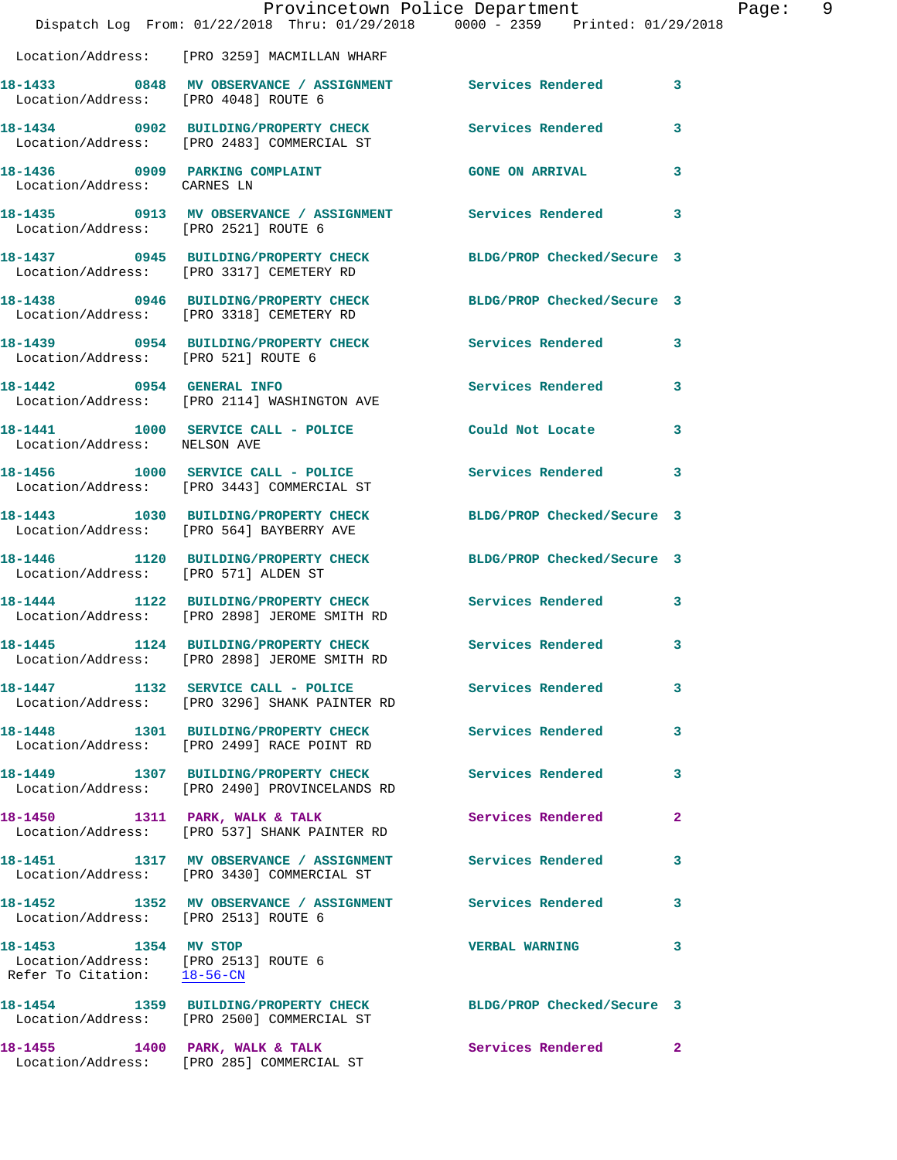|                                                                                             |                                                                                                         | Provincetown Police Department                                                 |              |
|---------------------------------------------------------------------------------------------|---------------------------------------------------------------------------------------------------------|--------------------------------------------------------------------------------|--------------|
|                                                                                             |                                                                                                         | Dispatch Log From: 01/22/2018 Thru: 01/29/2018 0000 - 2359 Printed: 01/29/2018 |              |
|                                                                                             | Location/Address: [PRO 3259] MACMILLAN WHARF                                                            |                                                                                |              |
| Location/Address: [PRO 4048] ROUTE 6                                                        | 18-1433 6848 MV OBSERVANCE / ASSIGNMENT Services Rendered                                               |                                                                                | 3            |
|                                                                                             | 18-1434 0902 BUILDING/PROPERTY CHECK Services Rendered<br>Location/Address: [PRO 2483] COMMERCIAL ST    |                                                                                | 3            |
| Location/Address: CARNES LN                                                                 | 18-1436 0909 PARKING COMPLAINT                                                                          | <b>GONE ON ARRIVAL</b>                                                         | 3            |
| Location/Address: [PRO 2521] ROUTE 6                                                        | 18-1435 0913 MV OBSERVANCE / ASSIGNMENT Services Rendered                                               |                                                                                | 3            |
|                                                                                             | Location/Address: [PRO 3317] CEMETERY RD                                                                | 18-1437 0945 BUILDING/PROPERTY CHECK BLDG/PROP Checked/Secure 3                |              |
|                                                                                             | 18-1438 0946 BUILDING/PROPERTY CHECK<br>Location/Address: [PRO 3318] CEMETERY RD                        | BLDG/PROP Checked/Secure 3                                                     |              |
| Location/Address: [PRO 521] ROUTE 6                                                         | 18-1439 0954 BUILDING/PROPERTY CHECK                                                                    | Services Rendered                                                              | 3            |
|                                                                                             | 18-1442 0954 GENERAL INFO<br>Location/Address: [PRO 2114] WASHINGTON AVE                                | Services Rendered                                                              | 3            |
| Location/Address: NELSON AVE                                                                | 18-1441 1000 SERVICE CALL - POLICE                                                                      | Could Not Locate                                                               | 3            |
|                                                                                             | 18-1456   1000 SERVICE CALL - POLICE<br>Location/Address: [PRO 3443] COMMERCIAL ST                      | <b>Services Rendered</b>                                                       | 3            |
|                                                                                             | 18-1443 1030 BUILDING/PROPERTY CHECK<br>Location/Address: [PRO 564] BAYBERRY AVE                        | BLDG/PROP Checked/Secure 3                                                     |              |
| Location/Address: [PRO 571] ALDEN ST                                                        | 18-1446 1120 BUILDING/PROPERTY CHECK                                                                    | BLDG/PROP Checked/Secure 3                                                     |              |
|                                                                                             | 18-1444 1122 BUILDING/PROPERTY CHECK<br>Location/Address: [PRO 2898] JEROME SMITH RD                    | <b>Services Rendered</b>                                                       | 3            |
|                                                                                             | 18-1445 1124 BUILDING/PROPERTY CHECK<br>Location/Address: [PRO 2898] JEROME SMITH RD                    | Services Rendered                                                              | 3            |
|                                                                                             | Location/Address: [PRO 3296] SHANK PAINTER RD                                                           | 18-1447 1132 SERVICE CALL - POLICE Services Rendered                           | 3            |
|                                                                                             | 18-1448 1301 BUILDING/PROPERTY CHECK<br>Location/Address: [PRO 2499] RACE POINT RD                      | Services Rendered                                                              | 3            |
|                                                                                             | 18-1449 1307 BUILDING/PROPERTY CHECK Services Rendered<br>Location/Address: [PRO 2490] PROVINCELANDS RD |                                                                                | 3            |
|                                                                                             | 18-1450 1311 PARK, WALK & TALK<br>Location/Address: [PRO 537] SHANK PAINTER RD                          | Services Rendered                                                              | 2            |
|                                                                                             | 18-1451 1317 MV OBSERVANCE / ASSIGNMENT<br>Location/Address: [PRO 3430] COMMERCIAL ST                   | <b>Services Rendered</b>                                                       | 3            |
| Location/Address: [PRO 2513] ROUTE 6                                                        | 18-1452 1352 MV OBSERVANCE / ASSIGNMENT Services Rendered                                               |                                                                                | 3            |
| 18-1453 1354 MV STOP<br>Location/Address: [PRO 2513] ROUTE 6<br>Refer To Citation: 18-56-CN |                                                                                                         | <b>VERBAL WARNING</b>                                                          | 3            |
|                                                                                             | Location/Address: [PRO 2500] COMMERCIAL ST                                                              | 18-1454 1359 BUILDING/PROPERTY CHECK BLDG/PROP Checked/Secure 3                |              |
| 18-1455 1400 PARK, WALK & TALK                                                              |                                                                                                         | <b>Services Rendered</b>                                                       | $\mathbf{2}$ |

Location/Address: [PRO 285] COMMERCIAL ST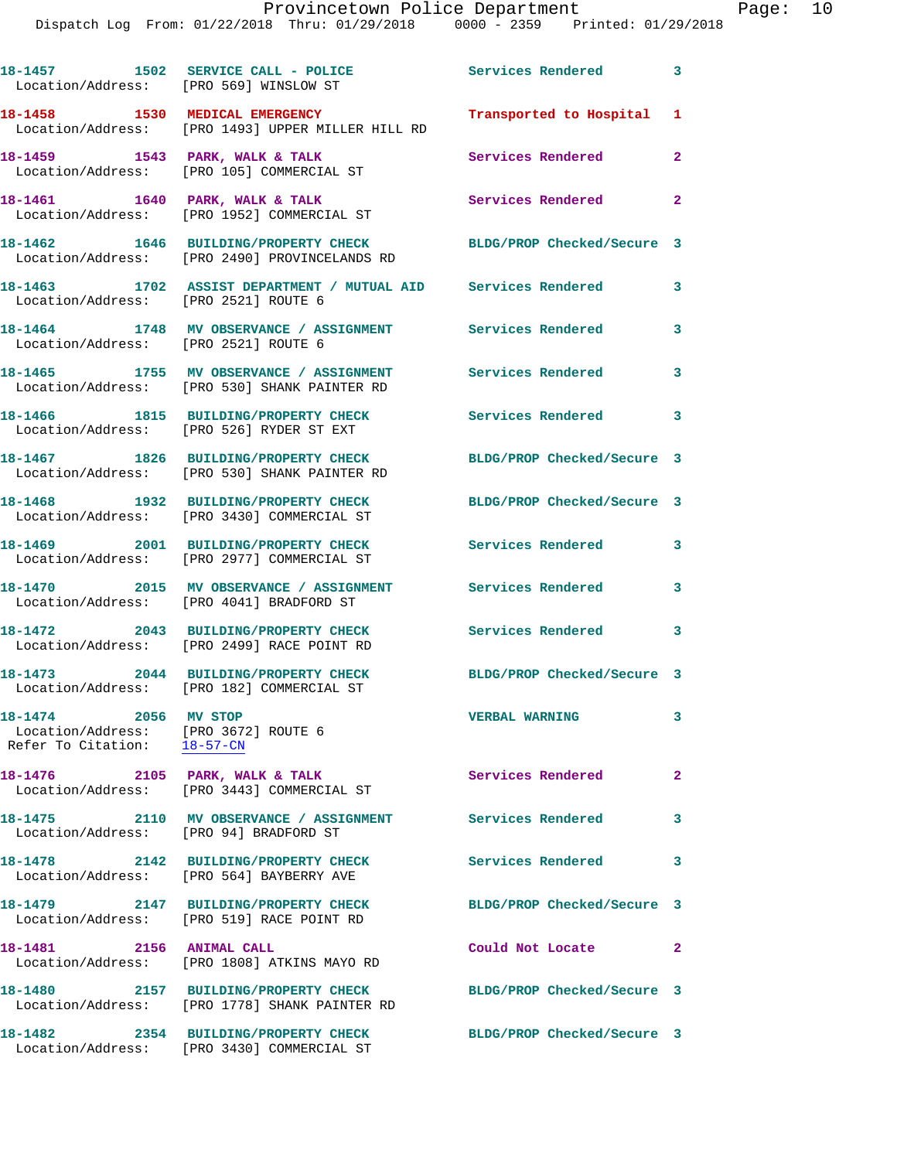|                                                                                             | 18-1457 1502 SERVICE CALL - POLICE<br>Location/Address: [PRO 569] WINSLOW ST            | Services Rendered 3        |                         |
|---------------------------------------------------------------------------------------------|-----------------------------------------------------------------------------------------|----------------------------|-------------------------|
|                                                                                             | 18-1458 1530 MEDICAL EMERGENCY<br>Location/Address: [PRO 1493] UPPER MILLER HILL RD     | Transported to Hospital 1  |                         |
|                                                                                             | 18-1459 1543 PARK, WALK & TALK<br>Location/Address: [PRO 105] COMMERCIAL ST             | <b>Services Rendered</b>   | $\mathbf{2}$            |
|                                                                                             | 18-1461 1640 PARK, WALK & TALK<br>Location/Address: [PRO 1952] COMMERCIAL ST            | Services Rendered 2        |                         |
|                                                                                             | 18-1462 1646 BUILDING/PROPERTY CHECK<br>Location/Address: [PRO 2490] PROVINCELANDS RD   | BLDG/PROP Checked/Secure 3 |                         |
| Location/Address: [PRO 2521] ROUTE 6                                                        | 18-1463 1702 ASSIST DEPARTMENT / MUTUAL AID Services Rendered                           |                            | 3                       |
| Location/Address: [PRO 2521] ROUTE 6                                                        | 18-1464 1748 MV OBSERVANCE / ASSIGNMENT Services Rendered                               |                            | 3                       |
|                                                                                             | 18-1465 1755 MV OBSERVANCE / ASSIGNMENT<br>Location/Address: [PRO 530] SHANK PAINTER RD | Services Rendered          | 3                       |
|                                                                                             | 18-1466 1815 BUILDING/PROPERTY CHECK<br>Location/Address: [PRO 526] RYDER ST EXT        | Services Rendered 3        |                         |
|                                                                                             | 18-1467 1826 BUILDING/PROPERTY CHECK<br>Location/Address: [PRO 530] SHANK PAINTER RD    | BLDG/PROP Checked/Secure 3 |                         |
|                                                                                             | 18-1468 1932 BUILDING/PROPERTY CHECK<br>Location/Address: [PRO 3430] COMMERCIAL ST      | BLDG/PROP Checked/Secure 3 |                         |
|                                                                                             | 18-1469 2001 BUILDING/PROPERTY CHECK<br>Location/Address: [PRO 2977] COMMERCIAL ST      | Services Rendered          | 3                       |
|                                                                                             | 18-1470 2015 MV OBSERVANCE / ASSIGNMENT<br>Location/Address: [PRO 4041] BRADFORD ST     | Services Rendered          | $\mathbf{3}$            |
|                                                                                             | 18-1472 2043 BUILDING/PROPERTY CHECK<br>Location/Address: [PRO 2499] RACE POINT RD      | Services Rendered 3        |                         |
|                                                                                             | 18-1473 2044 BUILDING/PROPERTY CHECK<br>Location/Address: [PRO 182] COMMERCIAL ST       | BLDG/PROP Checked/Secure 3 |                         |
| 18-1474 2056 MV STOP<br>Location/Address: [PRO 3672] ROUTE 6<br>Refer To Citation: 18-57-CN |                                                                                         | <b>VERBAL WARNING</b>      | 3                       |
|                                                                                             | 18-1476 2105 PARK, WALK & TALK<br>Location/Address: [PRO 3443] COMMERCIAL ST            | Services Rendered          | $\overline{\mathbf{2}}$ |
| Location/Address: [PRO 94] BRADFORD ST                                                      |                                                                                         |                            | 3                       |
|                                                                                             | 18-1478 2142 BUILDING/PROPERTY CHECK<br>Location/Address: [PRO 564] BAYBERRY AVE        | Services Rendered 3        |                         |
|                                                                                             | 18-1479 2147 BUILDING/PROPERTY CHECK<br>Location/Address: [PRO 519] RACE POINT RD       | BLDG/PROP Checked/Secure 3 |                         |
| 18-1481  2156 ANIMAL CALL                                                                   | Location/Address: [PRO 1808] ATKINS MAYO RD                                             | Could Not Locate           | $\overline{\mathbf{2}}$ |
|                                                                                             | 18-1480 2157 BUILDING/PROPERTY CHECK<br>Location/Address: [PRO 1778] SHANK PAINTER RD   | BLDG/PROP Checked/Secure 3 |                         |
|                                                                                             | 18-1482 2354 BUILDING/PROPERTY CHECK<br>Location/Address: [PRO 3430] COMMERCIAL ST      | BLDG/PROP Checked/Secure 3 |                         |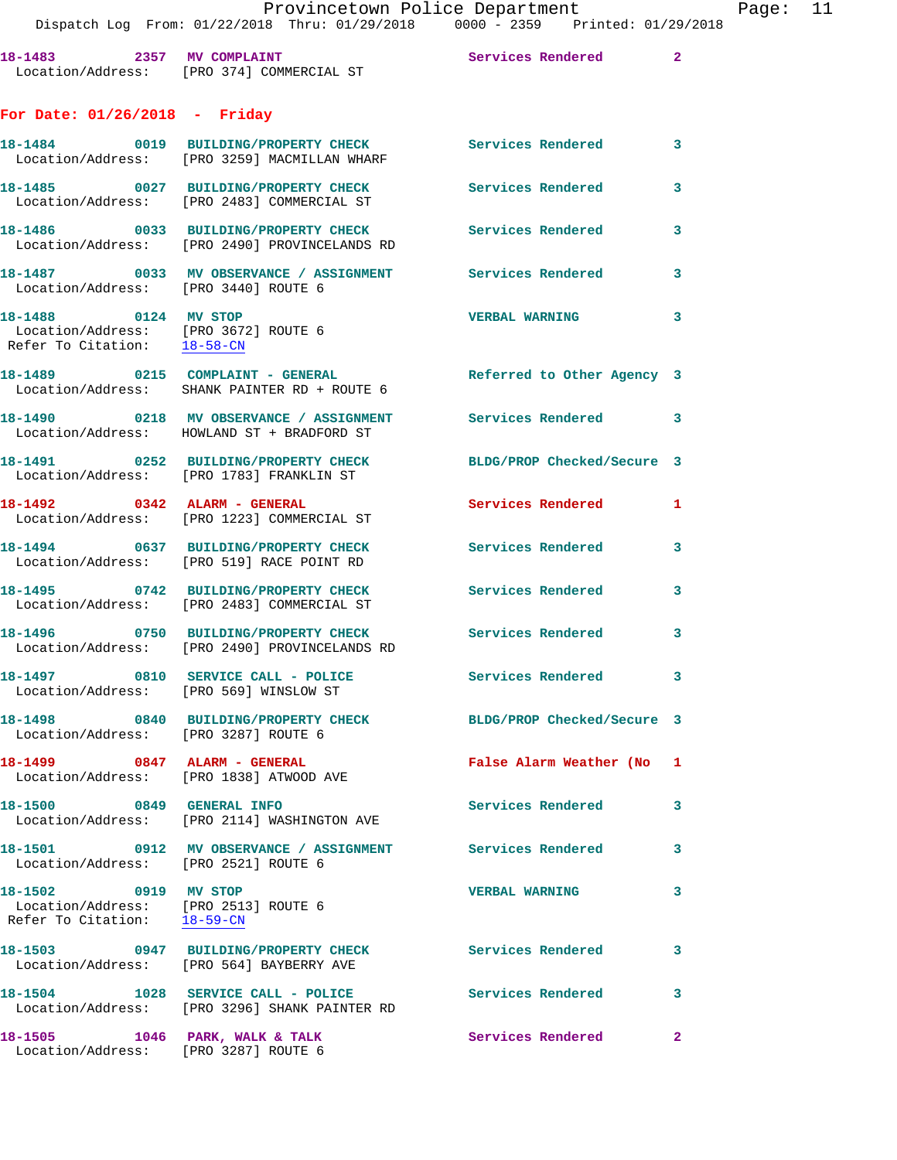**18-1483 2357 MV COMPLAINT Services Rendered 2**  Location/Address: [PRO 374] COMMERCIAL ST

## **For Date: 01/26/2018 - Friday**

|                                                                                             | 18-1484 0019 BUILDING/PROPERTY CHECK<br>Location/Address: [PRO 3259] MACMILLAN WHARF                     | <b>Services Rendered</b>   | $\overline{\mathbf{3}}$ |
|---------------------------------------------------------------------------------------------|----------------------------------------------------------------------------------------------------------|----------------------------|-------------------------|
|                                                                                             | 18-1485 0027 BUILDING/PROPERTY CHECK<br>Location/Address: [PRO 2483] COMMERCIAL ST                       | <b>Services Rendered</b>   | 3                       |
|                                                                                             | 18-1486  0033 BUILDING/PROPERTY CHECK Services Rendered<br>Location/Address: [PRO 2490] PROVINCELANDS RD |                            | 3                       |
| Location/Address: [PRO 3440] ROUTE 6                                                        | 18-1487 0033 MV OBSERVANCE / ASSIGNMENT                                                                  | Services Rendered          | 3                       |
| 18-1488 0124 MV STOP<br>Location/Address: [PRO 3672] ROUTE 6<br>Refer To Citation: 18-58-CN |                                                                                                          | <b>VERBAL WARNING</b>      | $\overline{\mathbf{3}}$ |
|                                                                                             | 18-1489 0215 COMPLAINT - GENERAL<br>Location/Address: SHANK PAINTER RD + ROUTE 6                         | Referred to Other Agency 3 |                         |
|                                                                                             | 18-1490 0218 MV OBSERVANCE / ASSIGNMENT<br>Location/Address: HOWLAND ST + BRADFORD ST                    | Services Rendered 3        |                         |
|                                                                                             | 18-1491 0252 BUILDING/PROPERTY CHECK<br>Location/Address: [PRO 1783] FRANKLIN ST                         | BLDG/PROP Checked/Secure 3 |                         |
|                                                                                             | Location/Address: [PRO 1223] COMMERCIAL ST                                                               | <b>Services Rendered</b>   | 1                       |
|                                                                                             | 18-1494 0637 BUILDING/PROPERTY CHECK<br>Location/Address: [PRO 519] RACE POINT RD                        | <b>Services Rendered</b>   | 3                       |
|                                                                                             | 18-1495 0742 BUILDING/PROPERTY CHECK<br>Location/Address: [PRO 2483] COMMERCIAL ST                       | <b>Services Rendered</b>   | 3                       |
|                                                                                             | 18-1496 0750 BUILDING/PROPERTY CHECK<br>Location/Address: [PRO 2490] PROVINCELANDS RD                    | Services Rendered          | 3                       |
| Location/Address: [PRO 569] WINSLOW ST                                                      | 18-1497 0810 SERVICE CALL - POLICE Services Rendered                                                     |                            | 3                       |
| Location/Address: [PRO 3287] ROUTE 6                                                        | 18-1498 0840 BUILDING/PROPERTY CHECK BLDG/PROP Checked/Secure 3                                          |                            |                         |
|                                                                                             | 18-1499 0847 ALARM - GENERAL<br>Location/Address: [PRO 1838] ATWOOD AVE                                  | False Alarm Weather (No 1  |                         |
| 18-1500 0849 GENERAL INFO                                                                   | Location/Address: [PRO 2114] WASHINGTON AVE                                                              | Services Rendered          | 3                       |
| Location/Address: [PRO 2521] ROUTE 6                                                        | 18-1501 0912 MV OBSERVANCE / ASSIGNMENT                                                                  | <b>Services Rendered</b>   | 3                       |
| 18-1502 0919 MV STOP<br>Location/Address: [PRO 2513] ROUTE 6<br>Refer To Citation: 18-59-CN |                                                                                                          | <b>VERBAL WARNING</b>      | 3                       |
|                                                                                             | 18-1503 0947 BUILDING/PROPERTY CHECK<br>Location/Address: [PRO 564] BAYBERRY AVE                         | Services Rendered          | 3                       |
|                                                                                             | 18-1504 1028 SERVICE CALL - POLICE<br>Location/Address: [PRO 3296] SHANK PAINTER RD                      | Services Rendered          | 3                       |
| 18-1505 1046 PARK, WALK & TALK<br>Location/Address: [PRO 3287] ROUTE 6                      |                                                                                                          | Services Rendered          | $\mathbf{2}$            |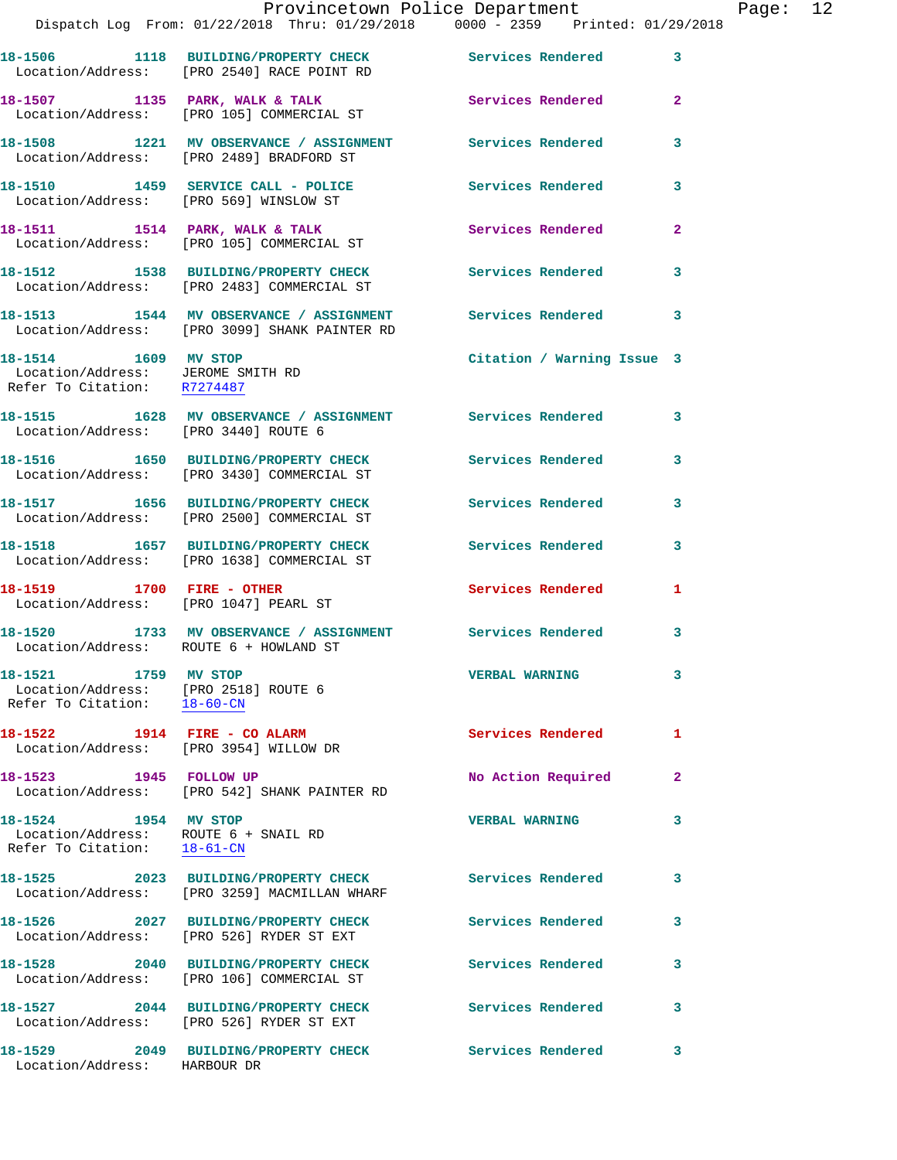|                                                                                             | Provincetown Police Department<br>Dispatch Log From: 01/22/2018 Thru: 01/29/2018 0000 - 2359 Printed: 01/29/2018 |                            |                |
|---------------------------------------------------------------------------------------------|------------------------------------------------------------------------------------------------------------------|----------------------------|----------------|
|                                                                                             | 18-1506 1118 BUILDING/PROPERTY CHECK Services Rendered<br>Location/Address: [PRO 2540] RACE POINT RD             |                            | 3              |
|                                                                                             | 18-1507 1135 PARK, WALK & TALK<br>Location/Address: [PRO 105] COMMERCIAL ST                                      | Services Rendered          | $\overline{a}$ |
|                                                                                             | 18-1508 1221 MV OBSERVANCE / ASSIGNMENT Services Rendered<br>Location/Address: [PRO 2489] BRADFORD ST            |                            | 3              |
|                                                                                             | 18-1510 1459 SERVICE CALL - POLICE<br>Location/Address: [PRO 569] WINSLOW ST                                     | <b>Services Rendered</b>   | 3              |
|                                                                                             | 18-1511 1514 PARK, WALK & TALK<br>Location/Address: [PRO 105] COMMERCIAL ST                                      | Services Rendered          | 2              |
|                                                                                             | 18-1512 1538 BUILDING/PROPERTY CHECK Services Rendered<br>Location/Address: [PRO 2483] COMMERCIAL ST             |                            | 3              |
|                                                                                             |                                                                                                                  |                            | 3              |
| 18-1514 1609 MV STOP<br>Location/Address: JEROME SMITH RD<br>Refer To Citation: R7274487    |                                                                                                                  | Citation / Warning Issue 3 |                |
| Location/Address: [PRO 3440] ROUTE 6                                                        | 18-1515 1628 MV OBSERVANCE / ASSIGNMENT Services Rendered                                                        |                            | 3              |
|                                                                                             | 18-1516 1650 BUILDING/PROPERTY CHECK Services Rendered<br>Location/Address: [PRO 3430] COMMERCIAL ST             |                            | 3              |
|                                                                                             | 18-1517 1656 BUILDING/PROPERTY CHECK Services Rendered<br>Location/Address: [PRO 2500] COMMERCIAL ST             |                            | 3              |
|                                                                                             | 18-1518 1657 BUILDING/PROPERTY CHECK Services Rendered<br>Location/Address: [PRO 1638] COMMERCIAL ST             |                            | 3              |
| 18-1519 1700 FIRE - OTHER                                                                   | Location/Address: [PRO 1047] PEARL ST                                                                            | <b>Services Rendered</b>   | 1              |
|                                                                                             | 18-1520 1733 MV OBSERVANCE / ASSIGNMENT Services Rendered<br>Location/Address: ROUTE 6 + HOWLAND ST              |                            | 3              |
| 18-1521 1759 MV STOP<br>Location/Address: [PRO 2518] ROUTE 6<br>Refer To Citation: 18-60-CN |                                                                                                                  | <b>VERBAL WARNING</b>      | 3              |
| 18-1522 1914 FIRE - CO ALARM<br>Location/Address: [PRO 3954] WILLOW DR                      |                                                                                                                  | <b>Services Rendered</b>   | 1              |
| 18-1523 1945 FOLLOW UP                                                                      | Location/Address: [PRO 542] SHANK PAINTER RD                                                                     | No Action Required         | 2              |
| 18-1524 1954 MV STOP<br>Location/Address: ROUTE 6 + SNAIL RD<br>Refer To Citation: 18-61-CN |                                                                                                                  | <b>VERBAL WARNING</b>      | 3              |
|                                                                                             | 18-1525 2023 BUILDING/PROPERTY CHECK Services Rendered<br>Location/Address: [PRO 3259] MACMILLAN WHARF           |                            | 3              |
|                                                                                             | 18-1526 2027 BUILDING/PROPERTY CHECK<br>Location/Address: [PRO 526] RYDER ST EXT                                 | Services Rendered          | 3              |
|                                                                                             | 18-1528 2040 BUILDING/PROPERTY CHECK<br>Location/Address: [PRO 106] COMMERCIAL ST                                | <b>Services Rendered</b>   | 3              |
|                                                                                             | Location/Address: [PRO 526] RYDER ST EXT                                                                         | Services Rendered          | 3              |
| 18-1529                                                                                     | 2049 BUILDING/PROPERTY CHECK                                                                                     | <b>Services Rendered</b>   | 3              |

Location/Address: HARBOUR DR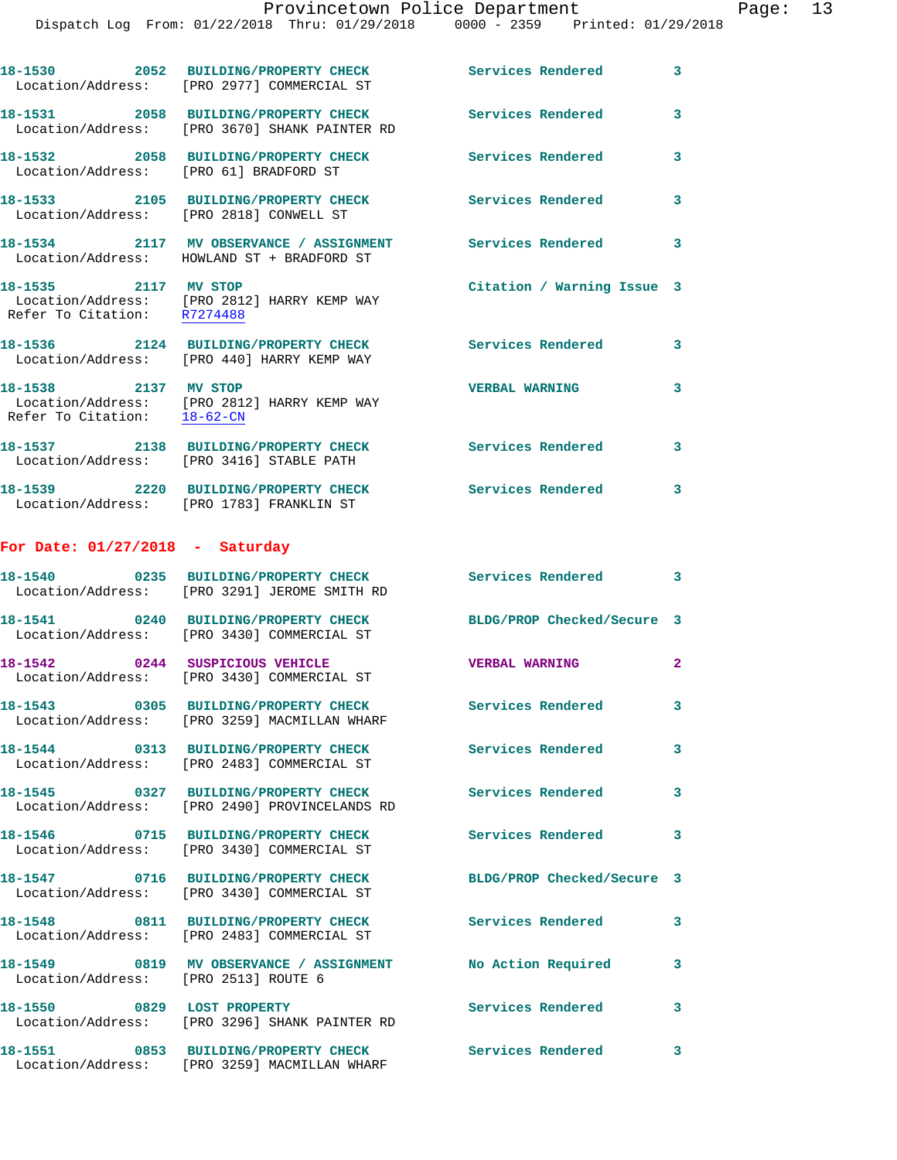|                                                     | Dispatch Log From: 01/22/2018 Thru: 01/29/2018 0000 - 2359 Printed: 01/29/2018                          |                            |                |
|-----------------------------------------------------|---------------------------------------------------------------------------------------------------------|----------------------------|----------------|
|                                                     | 18-1530 2052 BUILDING/PROPERTY CHECK<br>Location/Address: [PRO 2977] COMMERCIAL ST                      | Services Rendered          | 3              |
|                                                     | 18-1531 2058 BUILDING/PROPERTY CHECK<br>Location/Address: [PRO 3670] SHANK PAINTER RD                   | Services Rendered          | 3              |
| Location/Address: [PRO 61] BRADFORD ST              | 18-1532 2058 BUILDING/PROPERTY CHECK                                                                    | Services Rendered          | 3              |
| Location/Address: [PRO 2818] CONWELL ST             | 18-1533 2105 BUILDING/PROPERTY CHECK                                                                    | <b>Services Rendered</b>   | 3              |
|                                                     | 18-1534 2117 MV OBSERVANCE / ASSIGNMENT<br>Location/Address: HOWLAND ST + BRADFORD ST                   | Services Rendered          | 3              |
| 18-1535 2117 MV STOP<br>Refer To Citation: R7274488 | Location/Address: [PRO 2812] HARRY KEMP WAY                                                             | Citation / Warning Issue 3 |                |
|                                                     | 18-1536 2124 BUILDING/PROPERTY CHECK<br>Location/Address: [PRO 440] HARRY KEMP WAY                      | <b>Services Rendered</b>   | 3              |
| 18-1538 2137 MV STOP                                | Location/Address: [PRO 2812] HARRY KEMP WAY<br>Refer To Citation: 18-62-CN                              | <b>VERBAL WARNING</b>      | 3              |
|                                                     | 18-1537 2138 BUILDING/PROPERTY CHECK<br>Location/Address: [PRO 3416] STABLE PATH                        | <b>Services Rendered</b>   | 3              |
|                                                     | 18-1539 2220 BUILDING/PROPERTY CHECK<br>Location/Address: [PRO 1783] FRANKLIN ST                        | <b>Services Rendered</b>   | 3              |
| For Date: $01/27/2018$ - Saturday                   |                                                                                                         |                            |                |
|                                                     | 18-1540 0235 BUILDING/PROPERTY CHECK<br>Location/Address: [PRO 3291] JEROME SMITH RD                    | Services Rendered          | 3              |
|                                                     | 18-1541 0240 BUILDING/PROPERTY CHECK<br>Location/Address: [PRO 3430] COMMERCIAL ST                      | BLDG/PROP Checked/Secure 3 |                |
| 18-1542 0244 SUSPICIOUS VEHICLE                     | Location/Address: [PRO 3430] COMMERCIAL ST                                                              | <b>VERBAL WARNING</b>      | $\overline{a}$ |
|                                                     | 18-1543  0305 BUILDING/PROPERTY CHECK Services Rendered<br>Location/Address: [PRO 3259] MACMILLAN WHARF |                            | 3              |
|                                                     | 18-1544 0313 BUILDING/PROPERTY CHECK<br>Location/Address: [PRO 2483] COMMERCIAL ST                      | <b>Services Rendered</b>   | 3              |
|                                                     | 18-1545 0327 BUILDING/PROPERTY CHECK<br>Location/Address: [PRO 2490] PROVINCELANDS RD                   | <b>Services Rendered</b>   | 3              |
|                                                     | 18-1546 0715 BUILDING/PROPERTY CHECK<br>Location/Address: [PRO 3430] COMMERCIAL ST                      | <b>Services Rendered</b>   | 3              |
|                                                     | 18-1547 0716 BUILDING/PROPERTY CHECK<br>Location/Address: [PRO 3430] COMMERCIAL ST                      | BLDG/PROP Checked/Secure 3 |                |
|                                                     | 18-1548 0811 BUILDING/PROPERTY CHECK<br>Location/Address: [PRO 2483] COMMERCIAL ST                      | <b>Services Rendered</b>   | 3              |
| Location/Address: [PRO 2513] ROUTE 6                | 18-1549 0819 MV OBSERVANCE / ASSIGNMENT No Action Required                                              |                            | 3              |
| 18-1550 0829 LOST PROPERTY                          | Location/Address: [PRO 3296] SHANK PAINTER RD                                                           | <b>Services Rendered</b>   | 3              |
|                                                     | 18-1551 0853 BUILDING/PROPERTY CHECK                                                                    | <b>Services Rendered</b>   | 3              |

Location/Address: [PRO 3259] MACMILLAN WHARF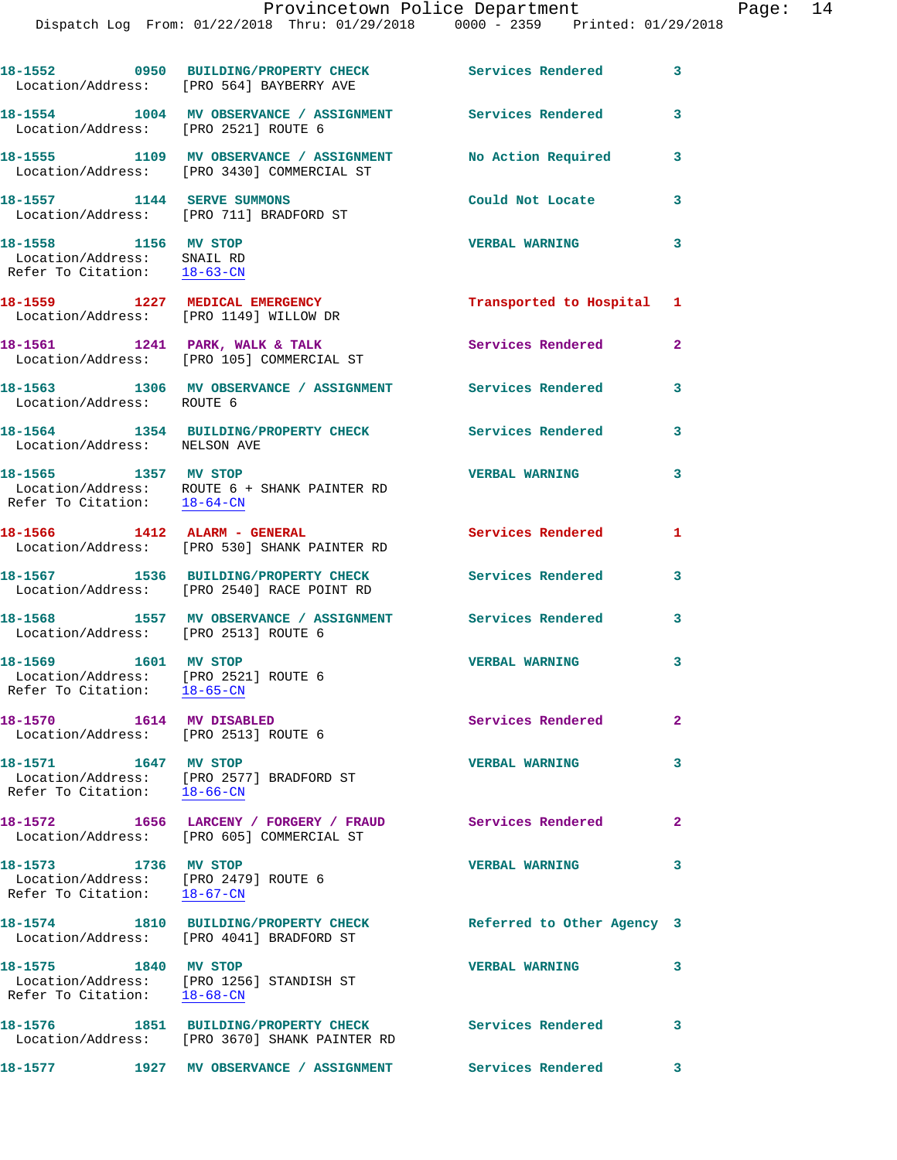|                                                                                             | 18-1552 0950 BUILDING/PROPERTY CHECK Services Rendered<br>Location/Address: [PRO 564] BAYBERRY AVE |                            | 3            |
|---------------------------------------------------------------------------------------------|----------------------------------------------------------------------------------------------------|----------------------------|--------------|
| Location/Address: [PRO 2521] ROUTE 6                                                        | 18-1554 1004 MV OBSERVANCE / ASSIGNMENT Services Rendered                                          |                            | 3            |
|                                                                                             | 18-1555 1109 MV OBSERVANCE / ASSIGNMENT<br>Location/Address: [PRO 3430] COMMERCIAL ST              | No Action Required         | 3            |
| 18-1557 1144 SERVE SUMMONS                                                                  | Location/Address: [PRO 711] BRADFORD ST                                                            | Could Not Locate           | 3            |
| 18-1558 1156 MV STOP<br>Location/Address: SNAIL RD<br>Refer To Citation: 18-63-CN           |                                                                                                    | <b>VERBAL WARNING</b>      | 3            |
|                                                                                             | 18-1559 1227 MEDICAL EMERGENCY<br>Location/Address: [PRO 1149] WILLOW DR                           | Transported to Hospital 1  |              |
|                                                                                             | 18-1561 1241 PARK, WALK & TALK<br>Location/Address: [PRO 105] COMMERCIAL ST                        | Services Rendered          | $\mathbf{2}$ |
| Location/Address: ROUTE 6                                                                   | 18-1563 1306 MV OBSERVANCE / ASSIGNMENT Services Rendered                                          |                            | 3            |
| Location/Address: NELSON AVE                                                                | 18-1564 1354 BUILDING/PROPERTY CHECK                                                               | <b>Services Rendered</b>   | 3            |
| 18-1565 1357 MV STOP                                                                        | Location/Address: ROUTE 6 + SHANK PAINTER RD<br>Refer To Citation: 18-64-CN                        | <b>VERBAL WARNING</b>      | 3            |
|                                                                                             | 18-1566 1412 ALARM - GENERAL<br>Location/Address: [PRO 530] SHANK PAINTER RD                       | Services Rendered          | 1            |
|                                                                                             | 18-1567 1536 BUILDING/PROPERTY CHECK<br>Location/Address: [PRO 2540] RACE POINT RD                 | Services Rendered          | 3            |
| Location/Address: [PRO 2513] ROUTE 6                                                        | 18-1568 1557 MV OBSERVANCE / ASSIGNMENT Services Rendered                                          |                            | 3            |
| 18-1569 1601 MV STOP<br>Location/Address: [PRO 2521] ROUTE 6<br>Refer To Citation: 18-65-CN |                                                                                                    | <b>VERBAL WARNING</b>      | 3            |
| 18-1570 1614 MV DISABLED<br>Location/Address: [PRO 2513] ROUTE 6                            |                                                                                                    | <b>Services Rendered</b>   | $\mathbf{2}$ |
| 18-1571 1647 MV STOP                                                                        | Location/Address: [PRO 2577] BRADFORD ST<br>Refer To Citation: 18-66-CN                            | <b>VERBAL WARNING</b>      | 3            |
|                                                                                             | 18-1572 1656 LARCENY / FORGERY / FRAUD<br>Location/Address: [PRO 605] COMMERCIAL ST                | <b>Services Rendered</b>   | 2            |
| 18-1573 1736 MV STOP<br>Location/Address: [PRO 2479] ROUTE 6<br>Refer To Citation: 18-67-CN |                                                                                                    | <b>VERBAL WARNING</b>      | 3            |
|                                                                                             | 18-1574 1810 BUILDING/PROPERTY CHECK<br>Location/Address: [PRO 4041] BRADFORD ST                   | Referred to Other Agency 3 |              |
| 18-1575 1840 MV STOP                                                                        | Location/Address: [PRO 1256] STANDISH ST<br>Refer To Citation: 18-68-CN                            | <b>VERBAL WARNING</b>      | 3            |
| 18-1576                                                                                     | 1851 BUILDING/PROPERTY CHECK<br>Location/Address: [PRO 3670] SHANK PAINTER RD                      | Services Rendered          | 3            |
|                                                                                             |                                                                                                    |                            | 3            |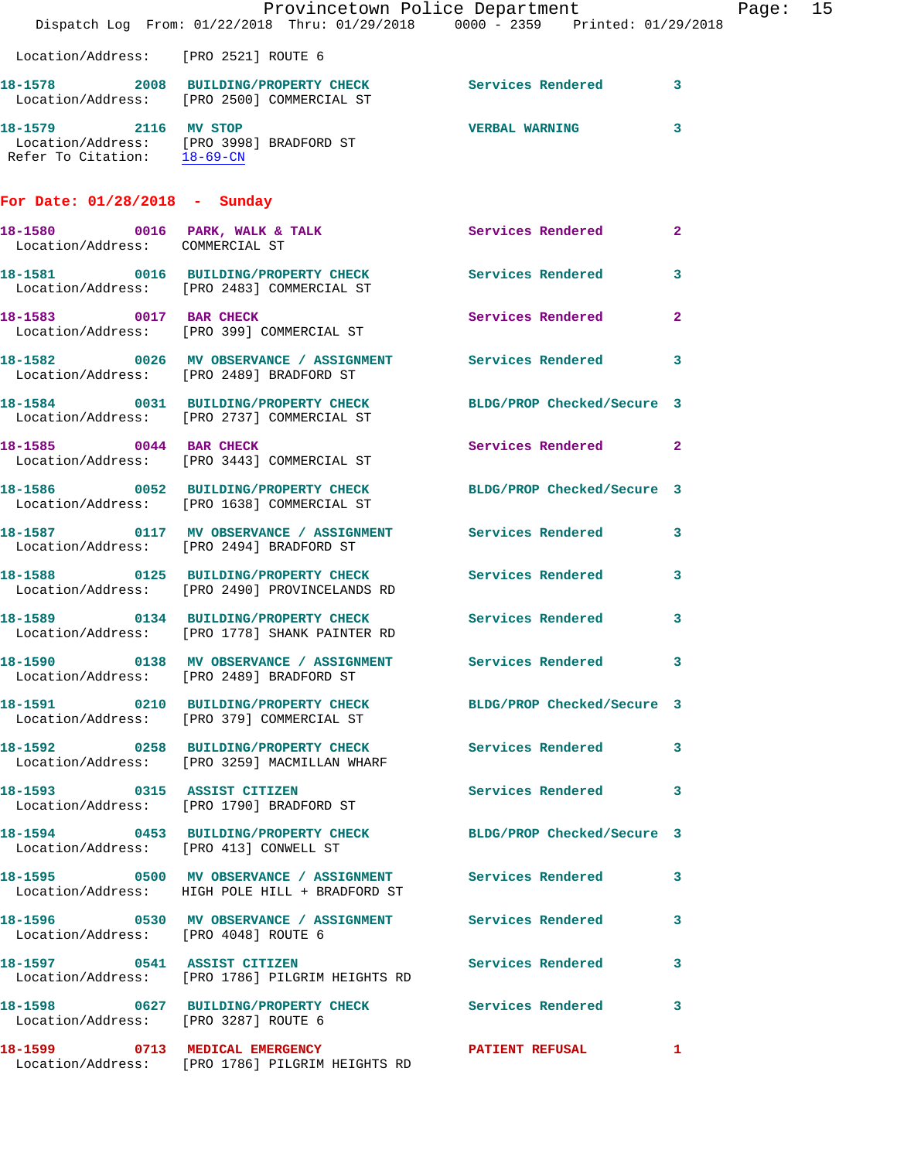|                                        | Dispatch Log From: 01/22/2018 Thru: 01/29/2018 0000 - 2359 Printed: 01/29/2018                                      | Provincetown Police Department |              | Page: 15 |  |
|----------------------------------------|---------------------------------------------------------------------------------------------------------------------|--------------------------------|--------------|----------|--|
| Location/Address: [PRO 2521] ROUTE 6   |                                                                                                                     |                                |              |          |  |
|                                        | 18-1578 2008 BUILDING/PROPERTY CHECK Services Rendered 3<br>Location/Address: [PRO 2500] COMMERCIAL ST              |                                |              |          |  |
|                                        | 18-1579 2116 MV STOP<br>Location/Address: [PRO 3998] BRADFORD ST<br>Refer To Citation: $\frac{18-69-CN}{\sqrt{36}}$ | <b>VERBAL WARNING</b>          | 3            |          |  |
| For Date: $01/28/2018$ - Sunday        |                                                                                                                     |                                |              |          |  |
| Location/Address: COMMERCIAL ST        | 18-1580 0016 PARK, WALK & TALK Services Rendered                                                                    |                                | $\mathbf{2}$ |          |  |
|                                        | 18-1581 0016 BUILDING/PROPERTY CHECK Services Rendered<br>Location/Address: [PRO 2483] COMMERCIAL ST                |                                | 3            |          |  |
|                                        | 18-1583 0017 BAR CHECK<br>Location/Address: [PRO 399] COMMERCIAL ST                                                 | Services Rendered              | $\mathbf{2}$ |          |  |
|                                        | 18-1582 0026 MV OBSERVANCE / ASSIGNMENT Services Rendered<br>Location/Address: [PRO 2489] BRADFORD ST               |                                | 3            |          |  |
|                                        | 18-1584 0031 BUILDING/PROPERTY CHECK BLDG/PROP Checked/Secure 3<br>Location/Address: [PRO 2737] COMMERCIAL ST       |                                |              |          |  |
|                                        | 18-1585 0044 BAR CHECK<br>Location/Address: [PRO 3443] COMMERCIAL ST                                                | Services Rendered              | $\mathbf{2}$ |          |  |
|                                        | 18-1586 0052 BUILDING/PROPERTY CHECK BLDG/PROP Checked/Secure 3<br>Location/Address: [PRO 1638] COMMERCIAL ST       |                                |              |          |  |
|                                        | 18-1587 0117 MV OBSERVANCE / ASSIGNMENT Services Rendered<br>Location/Address: [PRO 2494] BRADFORD ST               |                                | 3            |          |  |
|                                        | 18-1588 0125 BUILDING/PROPERTY CHECK Services Rendered<br>Location/Address: [PRO 2490] PROVINCELANDS RD             |                                | 3            |          |  |
|                                        | 18-1589 0134 BUILDING/PROPERTY CHECK Services Rendered<br>Location/Address: [PRO 1778] SHANK PAINTER RD             |                                | 3            |          |  |
|                                        | 18-1590 0138 MV OBSERVANCE / ASSIGNMENT<br>Location/Address: [PRO 2489] BRADFORD ST                                 | Services Rendered 3            |              |          |  |
|                                        | 18-1591 0210 BUILDING/PROPERTY CHECK BLDG/PROP Checked/Secure 3<br>Location/Address: [PRO 379] COMMERCIAL ST        |                                |              |          |  |
|                                        |                                                                                                                     |                                | 3            |          |  |
|                                        | 18-1593 0315 ASSIST CITIZEN<br>Location/Address: [PRO 1790] BRADFORD ST                                             | Services Rendered              | 3            |          |  |
| Location/Address: [PRO 413] CONWELL ST | 18-1594 0453 BUILDING/PROPERTY CHECK BLDG/PROP Checked/Secure 3                                                     |                                |              |          |  |
|                                        | 18-1595 6500 MV OBSERVANCE / ASSIGNMENT Services Rendered<br>Location/Address: HIGH POLE HILL + BRADFORD ST         |                                | 3            |          |  |
| Location/Address: [PRO 4048] ROUTE 6   | 18-1596 6530 MV OBSERVANCE / ASSIGNMENT Services Rendered                                                           |                                | 3            |          |  |
|                                        | 18-1597 0541 ASSIST CITIZEN<br>Location/Address: [PRO 1786] PILGRIM HEIGHTS RD                                      | <b>Services Rendered</b>       | 3            |          |  |
| Location/Address: [PRO 3287] ROUTE 6   | 18-1598 0627 BUILDING/PROPERTY CHECK Services Rendered                                                              |                                | 3            |          |  |
|                                        | Location/Address: [PRO 1786] PILGRIM HEIGHTS RD                                                                     |                                | 1            |          |  |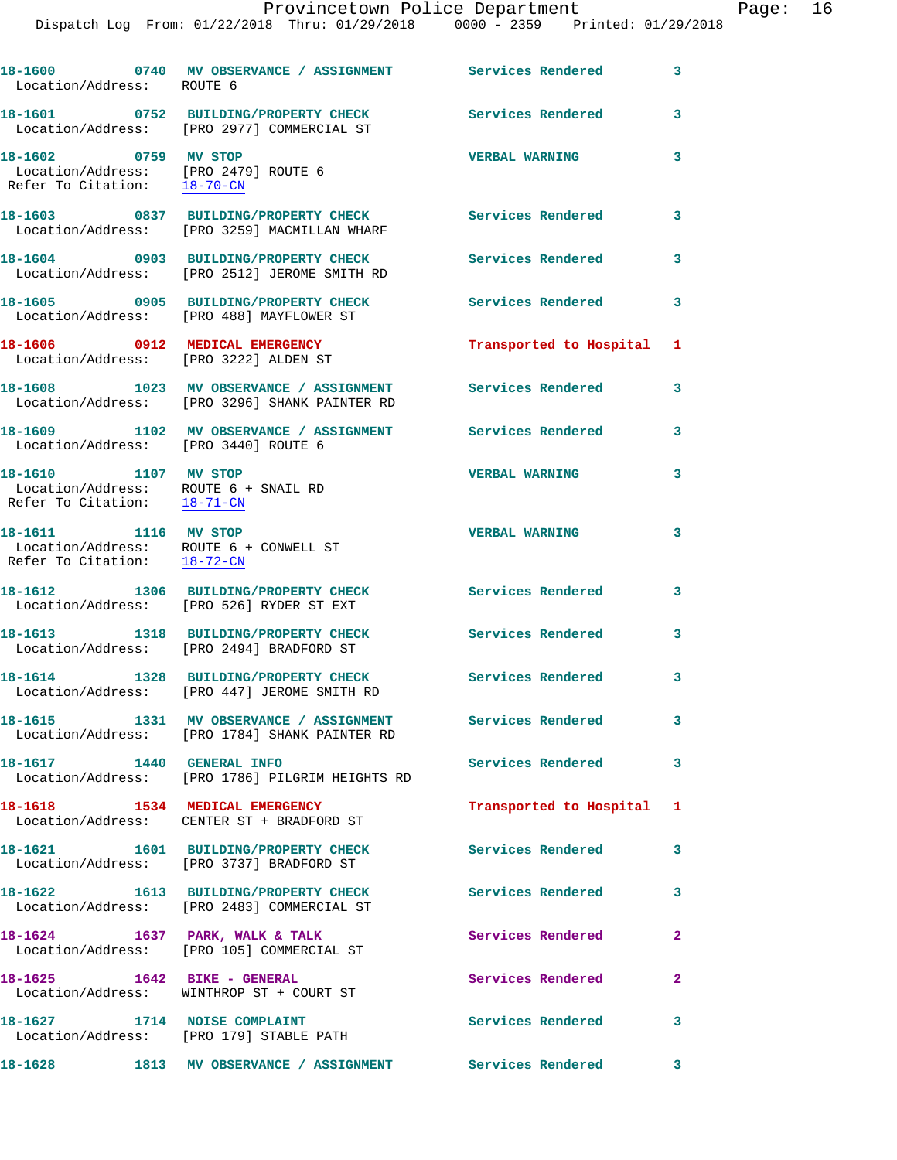| Location/Address: ROUTE 6                                                                     | 18-1600  0740 MV OBSERVANCE / ASSIGNMENT Services Rendered                                                 |                           | $\mathbf{3}$ |
|-----------------------------------------------------------------------------------------------|------------------------------------------------------------------------------------------------------------|---------------------------|--------------|
|                                                                                               | 18-1601 0752 BUILDING/PROPERTY CHECK<br>Location/Address: [PRO 2977] COMMERCIAL ST                         | Services Rendered         | 3            |
| 18-1602 0759 MV STOP<br>Location/Address: [PRO 2479] ROUTE 6<br>Refer To Citation: 18-70-CN   |                                                                                                            | <b>VERBAL WARNING</b>     | 3            |
|                                                                                               | 18-1603 0837 BUILDING/PROPERTY CHECK<br>Location/Address: [PRO 3259] MACMILLAN WHARF                       | <b>Services Rendered</b>  | 3            |
|                                                                                               | 18-1604 0903 BUILDING/PROPERTY CHECK<br>Location/Address: [PRO 2512] JEROME SMITH RD                       | <b>Services Rendered</b>  | 3            |
|                                                                                               | 18-1605 0905 BUILDING/PROPERTY CHECK<br>Location/Address: [PRO 488] MAYFLOWER ST                           | <b>Services Rendered</b>  | 3            |
| Location/Address: [PRO 3222] ALDEN ST                                                         | 18-1606 0912 MEDICAL EMERGENCY                                                                             | Transported to Hospital 1 |              |
|                                                                                               | 18-1608 1023 MV OBSERVANCE / ASSIGNMENT Services Rendered<br>Location/Address: [PRO 3296] SHANK PAINTER RD |                           | 3            |
| Location/Address: [PRO 3440] ROUTE 6                                                          | 18-1609 1102 MV OBSERVANCE / ASSIGNMENT Services Rendered                                                  |                           | 3            |
| 18-1610 1107 MV STOP<br>Location/Address: ROUTE 6 + SNAIL RD<br>Refer To Citation: 18-71-CN   |                                                                                                            | <b>VERBAL WARNING</b>     | 3            |
| 18-1611 1116 MV STOP<br>Location/Address: ROUTE 6 + CONWELL ST<br>Refer To Citation: 18-72-CN |                                                                                                            | <b>VERBAL WARNING</b>     | 3            |
|                                                                                               | 18-1612 1306 BUILDING/PROPERTY CHECK<br>Location/Address: [PRO 526] RYDER ST EXT                           | Services Rendered         | 3            |
|                                                                                               | 18-1613 1318 BUILDING/PROPERTY CHECK<br>Location/Address: [PRO 2494] BRADFORD ST                           | Services Rendered         | 3            |
|                                                                                               | 18-1614 1328 BUILDING/PROPERTY CHECK<br>Location/Address: [PRO 447] JEROME SMITH RD                        | <b>Services Rendered</b>  | 3            |
|                                                                                               | 18-1615 1331 MV OBSERVANCE / ASSIGNMENT Services Rendered<br>Location/Address: [PRO 1784] SHANK PAINTER RD |                           | $\mathbf{3}$ |
| 18-1617   1440   GENERAL INFO                                                                 | Location/Address: [PRO 1786] PILGRIM HEIGHTS RD                                                            | <b>Services Rendered</b>  | 3            |
| 18-1618    1534    MEDICAL EMERGENCY                                                          | Location/Address: CENTER ST + BRADFORD ST                                                                  | Transported to Hospital 1 |              |
|                                                                                               | 18-1621 1601 BUILDING/PROPERTY CHECK<br>Location/Address: [PRO 3737] BRADFORD ST                           | <b>Services Rendered</b>  | 3            |
|                                                                                               | 18-1622 1613 BUILDING/PROPERTY CHECK<br>Location/Address: [PRO 2483] COMMERCIAL ST                         | Services Rendered         | 3            |
|                                                                                               | 18-1624 1637 PARK, WALK & TALK<br>Location/Address: [PRO 105] COMMERCIAL ST                                | Services Rendered         | $\mathbf{2}$ |
| 18-1625   1642   BIKE - GENERAL                                                               | Location/Address: WINTHROP ST + COURT ST                                                                   | Services Rendered         | $\mathbf{2}$ |
|                                                                                               | 18-1627 1714 NOISE COMPLAINT<br>Location/Address: [PRO 179] STABLE PATH                                    | <b>Services Rendered</b>  | 3            |
|                                                                                               | 18-1628 1813 MV OBSERVANCE / ASSIGNMENT Services Rendered 3                                                |                           |              |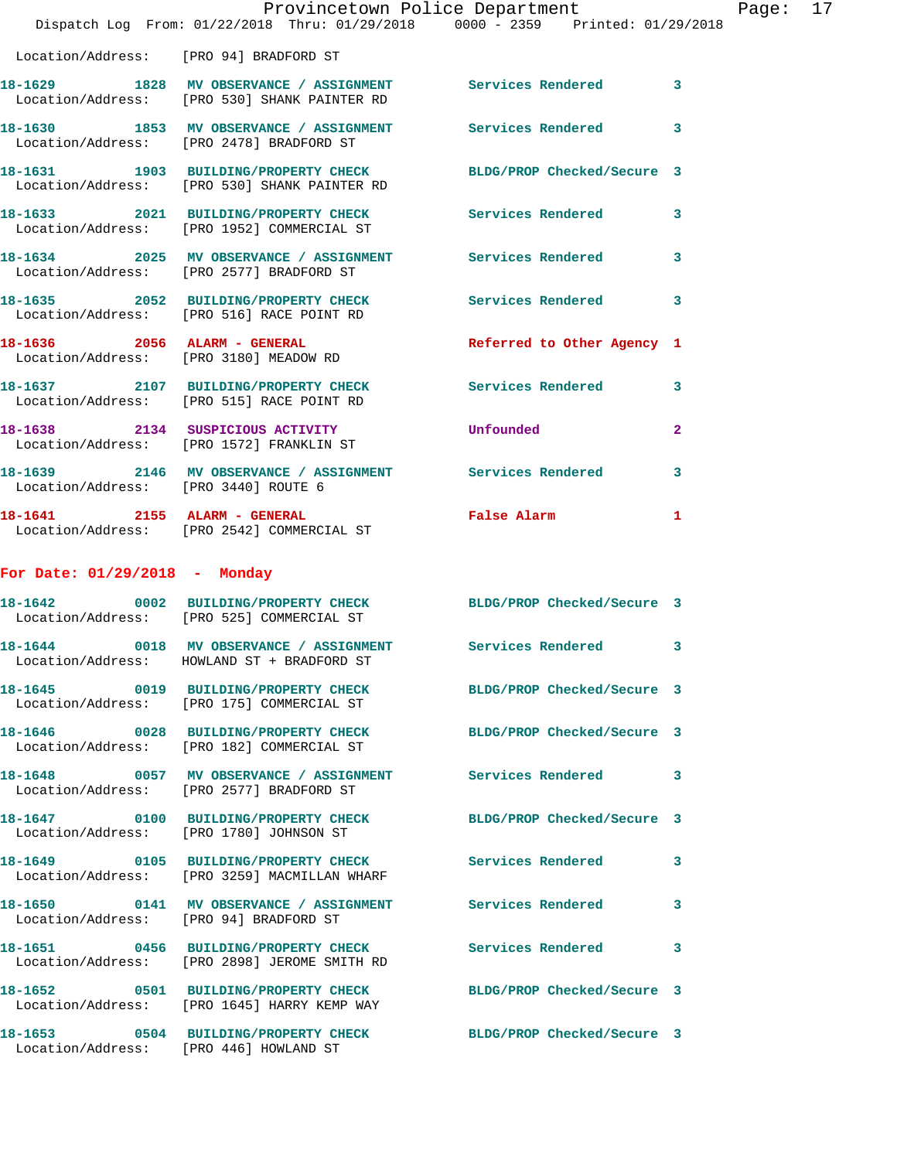|                                      | Provincetown Police Department<br>Dispatch Log From: 01/22/2018 Thru: 01/29/2018 0000 - 2359 Printed: 01/29/2018 |                                                                                                                                                                                                                                     |              | Page: 17 |  |
|--------------------------------------|------------------------------------------------------------------------------------------------------------------|-------------------------------------------------------------------------------------------------------------------------------------------------------------------------------------------------------------------------------------|--------------|----------|--|
|                                      | Location/Address: [PRO 94] BRADFORD ST                                                                           |                                                                                                                                                                                                                                     |              |          |  |
|                                      | 18-1629 1828 MV OBSERVANCE / ASSIGNMENT Services Rendered 3<br>Location/Address: [PRO 530] SHANK PAINTER RD      |                                                                                                                                                                                                                                     |              |          |  |
|                                      | 18-1630 1853 MV OBSERVANCE / ASSIGNMENT Services Rendered<br>Location/Address: [PRO 2478] BRADFORD ST            |                                                                                                                                                                                                                                     | $\mathbf{3}$ |          |  |
|                                      | 18-1631 1903 BUILDING/PROPERTY CHECK BLDG/PROP Checked/Secure 3<br>Location/Address: [PRO 530] SHANK PAINTER RD  |                                                                                                                                                                                                                                     |              |          |  |
|                                      | 18-1633 2021 BUILDING/PROPERTY CHECK Services Rendered 3<br>Location/Address: [PRO 1952] COMMERCIAL ST           |                                                                                                                                                                                                                                     |              |          |  |
|                                      | 18-1634 2025 MV OBSERVANCE / ASSIGNMENT Services Rendered 3<br>Location/Address: [PRO 2577] BRADFORD ST          |                                                                                                                                                                                                                                     |              |          |  |
|                                      | 18-1635 2052 BUILDING/PROPERTY CHECK Services Rendered 3<br>Location/Address: [PRO 516] RACE POINT RD            |                                                                                                                                                                                                                                     |              |          |  |
|                                      | 18-1636  2056  ALARM - GENERAL<br>Location/Address: [PRO 3180] MEADOW RD                                         | Referred to Other Agency 1                                                                                                                                                                                                          |              |          |  |
|                                      | 18-1637 2107 BUILDING/PROPERTY CHECK Services Rendered 3<br>Location/Address: [PRO 515] RACE POINT RD            |                                                                                                                                                                                                                                     |              |          |  |
|                                      | 18-1638 2134 SUSPICIOUS ACTIVITY<br>Location/Address: [PRO 1572] FRANKLIN ST                                     | <b>Unfounded</b> and the state of the state of the state of the state of the state of the state of the state of the state of the state of the state of the state of the state of the state of the state of the state of the state o | $\mathbf{2}$ |          |  |
| Location/Address: [PRO 3440] ROUTE 6 | 18-1639 2146 MV OBSERVANCE / ASSIGNMENT Services Rendered                                                        |                                                                                                                                                                                                                                     | 3            |          |  |
|                                      | 18-1641 2155 ALARM - GENERAL False Alarm<br>Location/Address: [PRO 2542] COMMERCIAL ST                           |                                                                                                                                                                                                                                     | $\mathbf{1}$ |          |  |
|                                      |                                                                                                                  |                                                                                                                                                                                                                                     |              |          |  |
| For Date: $01/29/2018$ - Monday      |                                                                                                                  |                                                                                                                                                                                                                                     |              |          |  |
| 18-1642                              | 0002 BUILDING/PROPERTY CHECK BLDG/PROP Checked/Secure 3<br>Location/Address: [PRO 525] COMMERCIAL ST             |                                                                                                                                                                                                                                     |              |          |  |
|                                      | 18-1644  0018 MV OBSERVANCE / ASSIGNMENT Services Rendered<br>Location/Address: HOWLAND ST + BRADFORD ST         |                                                                                                                                                                                                                                     | 3            |          |  |
|                                      | 18-1645  0019 BUILDING/PROPERTY CHECK BLDG/PROP Checked/Secure 3<br>Location/Address: [PRO 175] COMMERCIAL ST    |                                                                                                                                                                                                                                     |              |          |  |
|                                      | 18-1646 0028 BUILDING/PROPERTY CHECK BLDG/PROP Checked/Secure 3<br>Location/Address: [PRO 182] COMMERCIAL ST     |                                                                                                                                                                                                                                     |              |          |  |
|                                      | 18-1648 0057 MV OBSERVANCE / ASSIGNMENT Services Rendered 3<br>Location/Address: [PRO 2577] BRADFORD ST          |                                                                                                                                                                                                                                     |              |          |  |
|                                      | 18-1647 0100 BUILDING/PROPERTY CHECK BLDG/PROP Checked/Secure 3<br>Location/Address: [PRO 1780] JOHNSON ST       |                                                                                                                                                                                                                                     |              |          |  |
|                                      | 18-1649 0105 BUILDING/PROPERTY CHECK Services Rendered 3<br>Location/Address: [PRO 3259] MACMILLAN WHARF         |                                                                                                                                                                                                                                     |              |          |  |
|                                      | 18-1650   0141 MV OBSERVANCE / ASSIGNMENT   Services Rendered<br>Location/Address: [PRO 94] BRADFORD ST          |                                                                                                                                                                                                                                     | 3            |          |  |
|                                      | 18-1651 0456 BUILDING/PROPERTY CHECK Services Rendered 3<br>Location/Address: [PRO 2898] JEROME SMITH RD         |                                                                                                                                                                                                                                     |              |          |  |
|                                      | 18-1652 0501 BUILDING/PROPERTY CHECK BLDG/PROP Checked/Secure 3<br>Location/Address: [PRO 1645] HARRY KEMP WAY   |                                                                                                                                                                                                                                     |              |          |  |
|                                      | 18-1653    0504 BUILDING/PROPERTY CHECK BLDG/PROP Checked/Secure 3<br>Location/Address: [PRO 446] HOWLAND ST     |                                                                                                                                                                                                                                     |              |          |  |